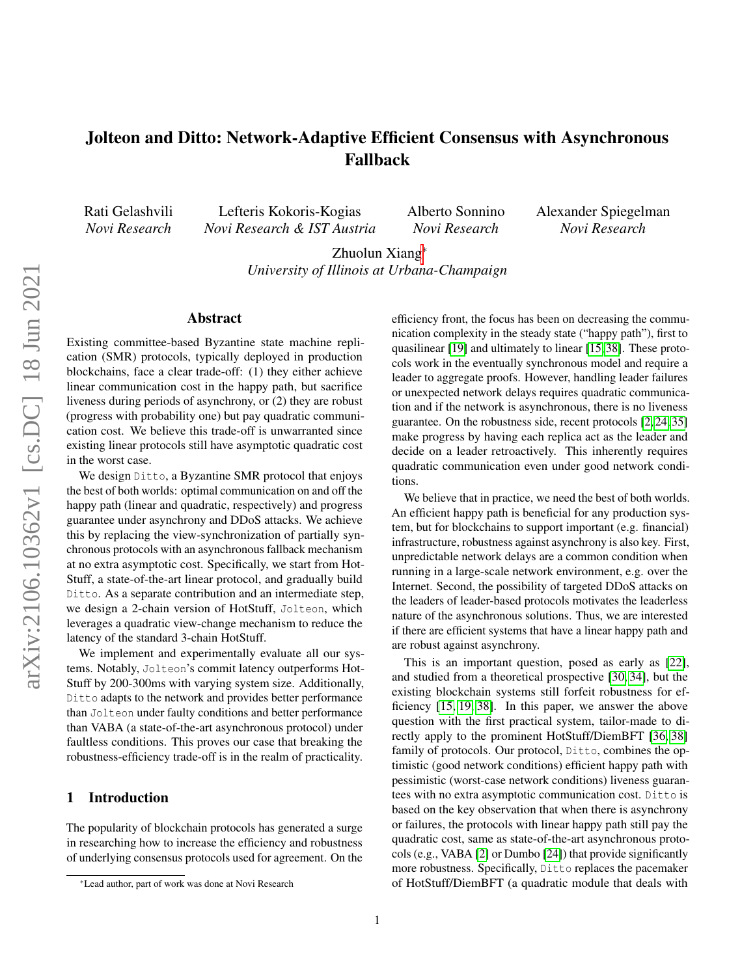# Jolteon and Ditto: Network-Adaptive Efficient Consensus with Asynchronous Fallback

Rati Gelashvili *Novi Research*

Lefteris Kokoris-Kogias *Novi Research & IST Austria* Alberto Sonnino *Novi Research*

Alexander Spiegelman *Novi Research*

Zhuolun Xiang<sup>∗</sup>

*University of Illinois at Urbana-Champaign*

### Abstract

Existing committee-based Byzantine state machine replication (SMR) protocols, typically deployed in production blockchains, face a clear trade-off: (1) they either achieve linear communication cost in the happy path, but sacrifice liveness during periods of asynchrony, or (2) they are robust (progress with probability one) but pay quadratic communication cost. We believe this trade-off is unwarranted since existing linear protocols still have asymptotic quadratic cost in the worst case.

We design Ditto, a Byzantine SMR protocol that enjoys the best of both worlds: optimal communication on and off the happy path (linear and quadratic, respectively) and progress guarantee under asynchrony and DDoS attacks. We achieve this by replacing the view-synchronization of partially synchronous protocols with an asynchronous fallback mechanism at no extra asymptotic cost. Specifically, we start from Hot-Stuff, a state-of-the-art linear protocol, and gradually build Ditto. As a separate contribution and an intermediate step, we design a 2-chain version of HotStuff, Jolteon, which leverages a quadratic view-change mechanism to reduce the latency of the standard 3-chain HotStuff.

We implement and experimentally evaluate all our systems. Notably, Jolteon's commit latency outperforms Hot-Stuff by 200-300ms with varying system size. Additionally, Ditto adapts to the network and provides better performance than Jolteon under faulty conditions and better performance than VABA (a state-of-the-art asynchronous protocol) under faultless conditions. This proves our case that breaking the robustness-efficiency trade-off is in the realm of practicality.

#### 1 Introduction

The popularity of blockchain protocols has generated a surge in researching how to increase the efficiency and robustness of underlying consensus protocols used for agreement. On the efficiency front, the focus has been on decreasing the communication complexity in the steady state ("happy path"), first to quasilinear [\[19\]](#page-13-0) and ultimately to linear [\[15,](#page-13-1) [38\]](#page-14-0). These protocols work in the eventually synchronous model and require a leader to aggregate proofs. However, handling leader failures or unexpected network delays requires quadratic communication and if the network is asynchronous, there is no liveness guarantee. On the robustness side, recent protocols [\[2,](#page-13-2) [24,](#page-14-1) [35\]](#page-14-2) make progress by having each replica act as the leader and decide on a leader retroactively. This inherently requires quadratic communication even under good network conditions.

We believe that in practice, we need the best of both worlds. An efficient happy path is beneficial for any production system, but for blockchains to support important (e.g. financial) infrastructure, robustness against asynchrony is also key. First, unpredictable network delays are a common condition when running in a large-scale network environment, e.g. over the Internet. Second, the possibility of targeted DDoS attacks on the leaders of leader-based protocols motivates the leaderless nature of the asynchronous solutions. Thus, we are interested if there are efficient systems that have a linear happy path and are robust against asynchrony.

This is an important question, posed as early as [\[22\]](#page-14-3), and studied from a theoretical prospective [\[30,](#page-14-4) [34\]](#page-14-5), but the existing blockchain systems still forfeit robustness for efficiency [\[15,](#page-13-1) [19,](#page-13-0) [38\]](#page-14-0). In this paper, we answer the above question with the first practical system, tailor-made to directly apply to the prominent HotStuff/DiemBFT [\[36,](#page-14-6) [38\]](#page-14-0) family of protocols. Our protocol, Ditto, combines the optimistic (good network conditions) efficient happy path with pessimistic (worst-case network conditions) liveness guarantees with no extra asymptotic communication cost. Ditto is based on the key observation that when there is asynchrony or failures, the protocols with linear happy path still pay the quadratic cost, same as state-of-the-art asynchronous protocols (e.g., VABA [\[2\]](#page-13-2) or Dumbo [\[24\]](#page-14-1)) that provide significantly more robustness. Specifically, Ditto replaces the pacemaker of HotStuff/DiemBFT (a quadratic module that deals with

<sup>∗</sup>Lead author, part of work was done at Novi Research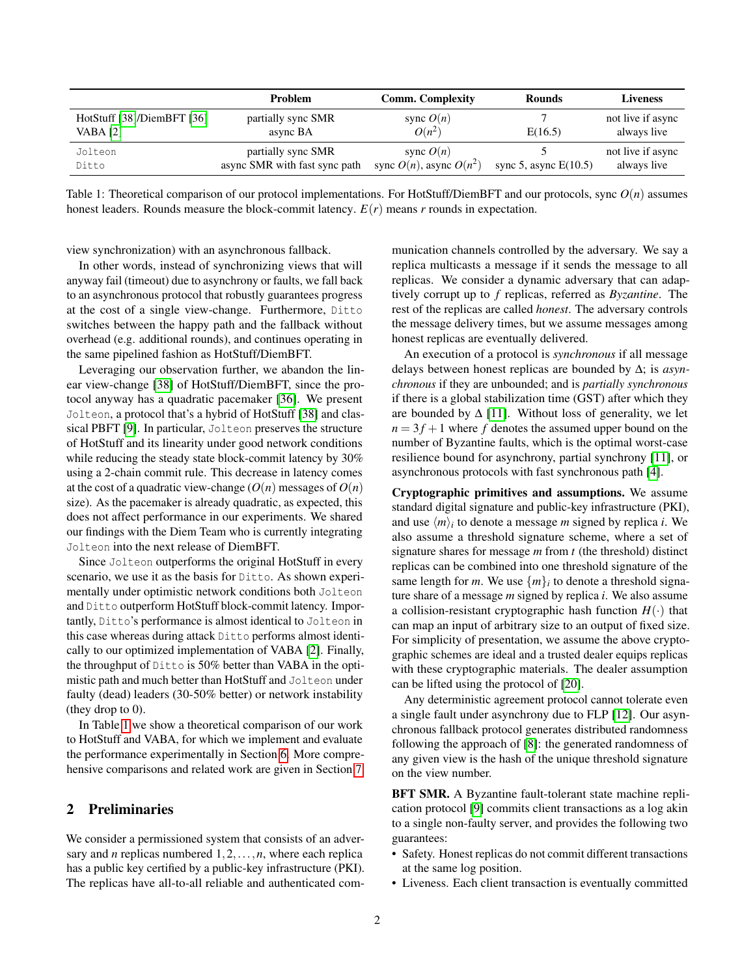<span id="page-1-0"></span>

|                            | Problem                       | <b>Comm.</b> Complexity      | <b>Rounds</b>           | <b>Liveness</b>   |
|----------------------------|-------------------------------|------------------------------|-------------------------|-------------------|
| HotStuff [38]/DiemBFT [36] | partially sync SMR            | sync $O(n)$                  |                         | not live if async |
| VABA [2]                   | async BA                      | $O(n^2)$                     | E(16.5)                 | always live       |
| Jolteon                    | partially sync SMR            | sync $O(n)$                  |                         | not live if async |
| Ditto                      | async SMR with fast sync path | sync $O(n)$ , async $O(n^2)$ | sync 5, async $E(10.5)$ | always live       |

Table 1: Theoretical comparison of our protocol implementations. For HotStuff/DiemBFT and our protocols, sync *O*(*n*) assumes honest leaders. Rounds measure the block-commit latency.  $E(r)$  means *r* rounds in expectation.

view synchronization) with an asynchronous fallback.

In other words, instead of synchronizing views that will anyway fail (timeout) due to asynchrony or faults, we fall back to an asynchronous protocol that robustly guarantees progress at the cost of a single view-change. Furthermore, Ditto switches between the happy path and the fallback without overhead (e.g. additional rounds), and continues operating in the same pipelined fashion as HotStuff/DiemBFT.

Leveraging our observation further, we abandon the linear view-change [\[38\]](#page-14-0) of HotStuff/DiemBFT, since the protocol anyway has a quadratic pacemaker [\[36\]](#page-14-6). We present Jolteon, a protocol that's a hybrid of HotStuff [\[38\]](#page-14-0) and classical PBFT [\[9\]](#page-13-3). In particular, Jolteon preserves the structure of HotStuff and its linearity under good network conditions while reducing the steady state block-commit latency by 30% using a 2-chain commit rule. This decrease in latency comes at the cost of a quadratic view-change  $(O(n))$  messages of  $O(n)$ size). As the pacemaker is already quadratic, as expected, this does not affect performance in our experiments. We shared our findings with the Diem Team who is currently integrating Jolteon into the next release of DiemBFT.

Since Jolteon outperforms the original HotStuff in every scenario, we use it as the basis for Ditto. As shown experimentally under optimistic network conditions both Jolteon and Ditto outperform HotStuff block-commit latency. Importantly, Ditto's performance is almost identical to Jolteon in this case whereas during attack Ditto performs almost identically to our optimized implementation of VABA [\[2\]](#page-13-2). Finally, the throughput of Ditto is 50% better than VABA in the optimistic path and much better than HotStuff and Jolteon under faulty (dead) leaders (30-50% better) or network instability (they drop to 0).

In Table [1](#page-1-0) we show a theoretical comparison of our work to HotStuff and VABA, for which we implement and evaluate the performance experimentally in Section [6.](#page-8-0) More comprehensive comparisons and related work are given in Section [7.](#page-11-0)

### <span id="page-1-1"></span>2 Preliminaries

We consider a permissioned system that consists of an adversary and *n* replicas numbered  $1, 2, \ldots, n$ , where each replica has a public key certified by a public-key infrastructure (PKI). The replicas have all-to-all reliable and authenticated communication channels controlled by the adversary. We say a replica multicasts a message if it sends the message to all replicas. We consider a dynamic adversary that can adaptively corrupt up to *f* replicas, referred as *Byzantine*. The rest of the replicas are called *honest*. The adversary controls the message delivery times, but we assume messages among honest replicas are eventually delivered.

An execution of a protocol is *synchronous* if all message delays between honest replicas are bounded by ∆; is *asynchronous* if they are unbounded; and is *partially synchronous* if there is a global stabilization time (GST) after which they are bounded by  $\Delta$  [\[11\]](#page-13-4). Without loss of generality, we let  $n = 3f + 1$  where f denotes the assumed upper bound on the number of Byzantine faults, which is the optimal worst-case resilience bound for asynchrony, partial synchrony [\[11\]](#page-13-4), or asynchronous protocols with fast synchronous path [\[4\]](#page-13-5).

Cryptographic primitives and assumptions. We assume standard digital signature and public-key infrastructure (PKI), and use  $\langle m \rangle_i$  to denote a message *m* signed by replica *i*. We also assume a threshold signature scheme, where a set of signature shares for message *m* from *t* (the threshold) distinct replicas can be combined into one threshold signature of the same length for *m*. We use  $\{m\}_i$  to denote a threshold signature share of a message *m* signed by replica *i*. We also assume a collision-resistant cryptographic hash function  $H(\cdot)$  that can map an input of arbitrary size to an output of fixed size. For simplicity of presentation, we assume the above cryptographic schemes are ideal and a trusted dealer equips replicas with these cryptographic materials. The dealer assumption can be lifted using the protocol of [\[20\]](#page-13-6).

Any deterministic agreement protocol cannot tolerate even a single fault under asynchrony due to FLP [\[12\]](#page-13-7). Our asynchronous fallback protocol generates distributed randomness following the approach of [\[8\]](#page-13-8): the generated randomness of any given view is the hash of the unique threshold signature on the view number.

BFT SMR. A Byzantine fault-tolerant state machine replication protocol [\[9\]](#page-13-3) commits client transactions as a log akin to a single non-faulty server, and provides the following two guarantees:

- Safety. Honest replicas do not commit different transactions at the same log position.
- Liveness. Each client transaction is eventually committed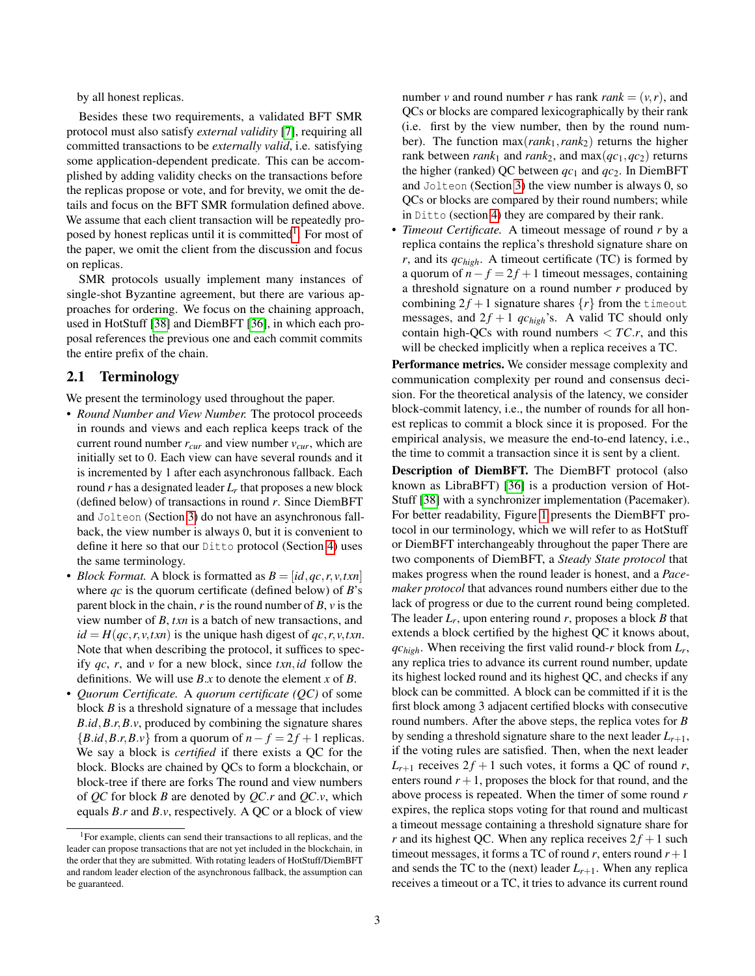by all honest replicas.

Besides these two requirements, a validated BFT SMR protocol must also satisfy *external validity* [\[7\]](#page-13-9), requiring all committed transactions to be *externally valid*, i.e. satisfying some application-dependent predicate. This can be accomplished by adding validity checks on the transactions before the replicas propose or vote, and for brevity, we omit the details and focus on the BFT SMR formulation defined above. We assume that each client transaction will be repeatedly pro-posed by honest replicas until it is committed<sup>[1](#page-2-0)</sup>. For most of the paper, we omit the client from the discussion and focus on replicas.

SMR protocols usually implement many instances of single-shot Byzantine agreement, but there are various approaches for ordering. We focus on the chaining approach, used in HotStuff [\[38\]](#page-14-0) and DiemBFT [\[36\]](#page-14-6), in which each proposal references the previous one and each commit commits the entire prefix of the chain.

# 2.1 Terminology

We present the terminology used throughout the paper.

- *Round Number and View Number.* The protocol proceeds in rounds and views and each replica keeps track of the current round number  $r_{cur}$  and view number  $v_{cur}$ , which are initially set to 0. Each view can have several rounds and it is incremented by 1 after each asynchronous fallback. Each round *r* has a designated leader *L<sup>r</sup>* that proposes a new block (defined below) of transactions in round *r*. Since DiemBFT and Jolteon (Section [3\)](#page-3-0) do not have an asynchronous fallback, the view number is always 0, but it is convenient to define it here so that our Ditto protocol (Section [4\)](#page-4-0) uses the same terminology.
- *Block Format.* A block is formatted as  $B = [id, qc, r, v, txn]$ where *qc* is the quorum certificate (defined below) of *B*'s parent block in the chain, *r* is the round number of *B*, *v* is the view number of *B*, *txn* is a batch of new transactions, and  $id = H(qc, r, v, txn)$  is the unique hash digest of  $qc, r, v, txn$ . Note that when describing the protocol, it suffices to specify *qc*, *r*, and *v* for a new block, since *txn*,*id* follow the definitions. We will use *B*.*x* to denote the element *x* of *B*.
- *Quorum Certificate.* A *quorum certificate (QC)* of some block *B* is a threshold signature of a message that includes *B*.*id*,*B*.*r*,*B*.*v*, produced by combining the signature shares  ${B.id, B.r, B.v}$  from a quorum of  $n - f = 2f + 1$  replicas. We say a block is *certified* if there exists a QC for the block. Blocks are chained by QCs to form a blockchain, or block-tree if there are forks The round and view numbers of *QC* for block *B* are denoted by *QC*.*r* and *QC*.*v*, which equals *B*.*r* and *B*.*v*, respectively. A QC or a block of view

number *v* and round number *r* has rank *rank* =  $(v, r)$ , and QCs or blocks are compared lexicographically by their rank (i.e. first by the view number, then by the round number). The function max(*rank*1,*rank*2) returns the higher rank between *rank*<sub>1</sub> and *rank*<sub>2</sub>, and  $max(qc_1, qc_2)$  returns the higher (ranked) QC between  $qc_1$  and  $qc_2$ . In DiemBFT and Jolteon (Section [3\)](#page-3-0) the view number is always 0, so QCs or blocks are compared by their round numbers; while in Ditto (section [4\)](#page-4-0) they are compared by their rank.

• *Timeout Certificate.* A timeout message of round *r* by a replica contains the replica's threshold signature share on *r*, and its *qchigh*. A timeout certificate (TC) is formed by a quorum of  $n - f = 2f + 1$  timeout messages, containing a threshold signature on a round number *r* produced by combining  $2f + 1$  signature shares  $\{r\}$  from the timeout messages, and  $2f + 1$  *qc*<sub>high</sub>'s. A valid TC should only contain high-QCs with round numbers  $\langle TC.r, \rangle$  and this will be checked implicitly when a replica receives a TC.

Performance metrics. We consider message complexity and communication complexity per round and consensus decision. For the theoretical analysis of the latency, we consider block-commit latency, i.e., the number of rounds for all honest replicas to commit a block since it is proposed. For the empirical analysis, we measure the end-to-end latency, i.e., the time to commit a transaction since it is sent by a client.

Description of DiemBFT. The DiemBFT protocol (also known as LibraBFT) [\[36\]](#page-14-6) is a production version of Hot-Stuff [\[38\]](#page-14-0) with a synchronizer implementation (Pacemaker). For better readability, Figure [1](#page-3-1) presents the DiemBFT protocol in our terminology, which we will refer to as HotStuff or DiemBFT interchangeably throughout the paper There are two components of DiemBFT, a *Steady State protocol* that makes progress when the round leader is honest, and a *Pacemaker protocol* that advances round numbers either due to the lack of progress or due to the current round being completed. The leader *L<sup>r</sup>* , upon entering round *r*, proposes a block *B* that extends a block certified by the highest QC it knows about, *qchigh*. When receiving the first valid round-*r* block from *L<sup>r</sup>* , any replica tries to advance its current round number, update its highest locked round and its highest QC, and checks if any block can be committed. A block can be committed if it is the first block among 3 adjacent certified blocks with consecutive round numbers. After the above steps, the replica votes for *B* by sending a threshold signature share to the next leader  $L_{r+1}$ , if the voting rules are satisfied. Then, when the next leader  $L_{r+1}$  receives  $2f + 1$  such votes, it forms a QC of round *r*, enters round  $r + 1$ , proposes the block for that round, and the above process is repeated. When the timer of some round *r* expires, the replica stops voting for that round and multicast a timeout message containing a threshold signature share for *r* and its highest QC. When any replica receives  $2f + 1$  such timeout messages, it forms a TC of round  $r$ , enters round  $r + 1$ and sends the TC to the (next) leader  $L_{r+1}$ . When any replica receives a timeout or a TC, it tries to advance its current round

<span id="page-2-0"></span><sup>1</sup>For example, clients can send their transactions to all replicas, and the leader can propose transactions that are not yet included in the blockchain, in the order that they are submitted. With rotating leaders of HotStuff/DiemBFT and random leader election of the asynchronous fallback, the assumption can be guaranteed.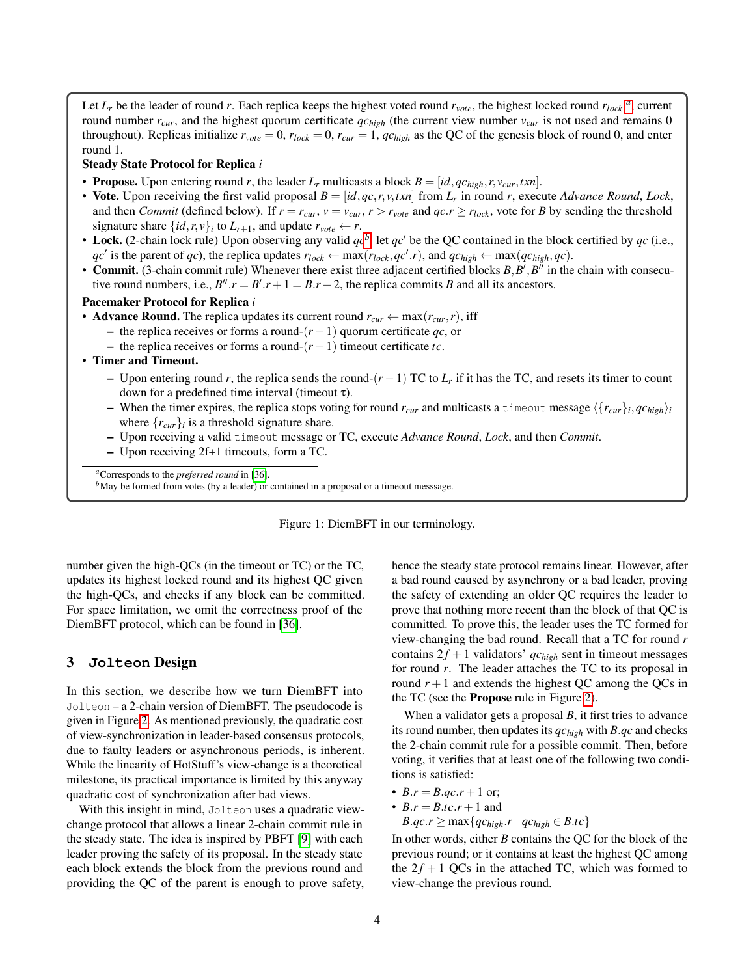<span id="page-3-1"></span>Let *L<sup>r</sup>* be the leader of round *r*. Each replica keeps the highest voted round *rvote*, the highest locked round *rlock [a](#page-3-2)* , current round number *rcur*, and the highest quorum certificate *qchigh* (the current view number *vcur* is not used and remains 0 throughout). Replicas initialize  $r_{vote} = 0$ ,  $r_{lock} = 0$ ,  $r_{cur} = 1$ ,  $q c_{high}$  as the QC of the genesis block of round 0, and enter round 1.

#### Steady State Protocol for Replica *i*

- **Propose.** Upon entering round *r*, the leader  $L_r$  multicasts a block  $B = [id, qc_{high}, r, v_{cur}, txn]$ .
- Vote. Upon receiving the first valid proposal  $B = [id, qc, r, v, txn]$  from  $L_r$  in round *r*, execute *Advance Round*, *Lock*, and then *Commit* (defined below). If  $r = r_{cur}$ ,  $v = v_{cur}$ ,  $r > r_{vote}$  and  $qc.r \ge r_{lock}$ , vote for *B* by sending the threshold signature share  $\{id, r, v\}$ *i* to  $L_{r+1}$ , and update  $r_{\text{vote}} \leftarrow r$ .
- Lock. (2-chain lock rule) Upon o[b](#page-3-3)serving any valid  $qc^b$ , let  $qc'$  be the QC contained in the block certified by  $qc$  (i.e.,  $qc'$  is the parent of *qc*), the replica updates  $r_{lock} \leftarrow \max(r_{lock}, qc',r)$ , and  $qc_{high} \leftarrow \max(qc_{high}, qc)$ .
- Commit. (3-chain commit rule) Whenever there exist three adjacent certified blocks  $B, B', B''$  in the chain with consecutive round numbers, i.e.,  $B''$ . $r = B'$ . $r + 1 = B$ . $r + 2$ , the replica commits *B* and all its ancestors.

#### Pacemaker Protocol for Replica *i*

- **Advance Round.** The replica updates its current round  $r_{cur} \leftarrow \max(r_{cur}, r)$ , iff
	- the replica receives or forms a round-(*r* −1) quorum certificate *qc*, or
	- the replica receives or forms a round-(*r* −1) timeout certificate *tc*.

#### • Timer and Timeout.

- Upon entering round *r*, the replica sends the round-(*r* −1) TC to *L<sup>r</sup>* if it has the TC, and resets its timer to count down for a predefined time interval (timeout τ).
- When the timer expires, the replica stops voting for round  $r_{cur}$  and multicasts a timeout message  $\langle \{r_{cur}\}_i, qc_{high}\rangle_i$ where  $\{r_{cur}\}\$ i is a threshold signature share.
- Upon receiving a valid timeout message or TC, execute *Advance Round*, *Lock*, and then *Commit*.
- Upon receiving 2f+1 timeouts, form a TC.

<span id="page-3-2"></span>*<sup>a</sup>*Corresponds to the *preferred round* in [\[36\]](#page-14-6).

<span id="page-3-3"></span><sup>*b*</sup>May be formed from votes (by a leader) or contained in a proposal or a timeout messsage.

Figure 1: DiemBFT in our terminology.

number given the high-QCs (in the timeout or TC) or the TC, updates its highest locked round and its highest QC given the high-QCs, and checks if any block can be committed. For space limitation, we omit the correctness proof of the DiemBFT protocol, which can be found in [\[36\]](#page-14-6).

#### <span id="page-3-0"></span>3 **Jolteon** Design

In this section, we describe how we turn DiemBFT into Jolteon – a 2-chain version of DiemBFT. The pseudocode is given in Figure [2.](#page-4-1) As mentioned previously, the quadratic cost of view-synchronization in leader-based consensus protocols, due to faulty leaders or asynchronous periods, is inherent. While the linearity of HotStuff's view-change is a theoretical milestone, its practical importance is limited by this anyway quadratic cost of synchronization after bad views.

With this insight in mind, Jolteon uses a quadratic viewchange protocol that allows a linear 2-chain commit rule in the steady state. The idea is inspired by PBFT [\[9\]](#page-13-3) with each leader proving the safety of its proposal. In the steady state each block extends the block from the previous round and providing the QC of the parent is enough to prove safety, hence the steady state protocol remains linear. However, after a bad round caused by asynchrony or a bad leader, proving the safety of extending an older QC requires the leader to prove that nothing more recent than the block of that QC is committed. To prove this, the leader uses the TC formed for view-changing the bad round. Recall that a TC for round *r* contains  $2f + 1$  validators' *qc*<sub>high</sub> sent in timeout messages for round *r*. The leader attaches the TC to its proposal in round  $r + 1$  and extends the highest QC among the QCs in the TC (see the Propose rule in Figure [2\)](#page-4-1).

When a validator gets a proposal *B*, it first tries to advance its round number, then updates its *qchigh* with *B*.*qc* and checks the 2-chain commit rule for a possible commit. Then, before voting, it verifies that at least one of the following two conditions is satisfied:

- $B.r = B.qc.r + 1$  or;
- $B.r = B.tc.r + 1$  and
	- *B*.*qc*.*r*  $\geq$  max $\{qc_{high}.r \mid qc_{high} \in B.tc\}$

In other words, either *B* contains the QC for the block of the previous round; or it contains at least the highest QC among the  $2f + 1$  QCs in the attached TC, which was formed to view-change the previous round.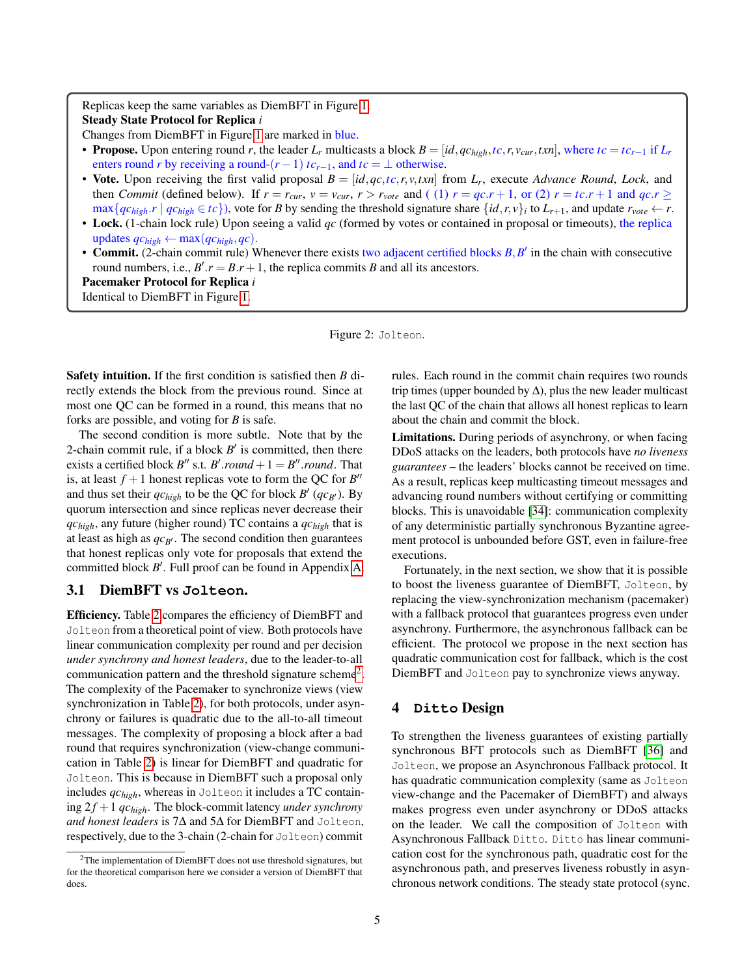<span id="page-4-1"></span>Replicas keep the same variables as DiemBFT in Figure [1.](#page-3-1) Steady State Protocol for Replica *i*

Changes from DiemBFT in Figure [1](#page-3-1) are marked in blue.

- Propose. Upon entering round r, the leader  $L_r$  multicasts a block  $B = [id, qc_{high}, tc, r, v_{cur}, txn]$ , where  $tc = tc_{r-1}$  if  $L_r$ enters round *r* by receiving a round- $(r-1)$  *tc*<sub>*r*−1</sub>, and *tc* =  $\perp$  otherwise.
- Vote. Upon receiving the first valid proposal  $B = [id, qc, tc, r, v, txn]$  from  $L_r$ , execute *Advance Round*, *Lock*, and then *Commit* (defined below). If  $r = r_{cur}$ ,  $v = v_{cur}$ ,  $r > r_{vote}$  and ((1)  $r = qc + 1$ , or (2)  $r = tc.r + 1$  and  $qc.r \ge$  $\max\{qc_{high}.r \mid qc_{high} \in tc\}$ , vote for B by sending the threshold signature share  $\{id, r, v\}_i$  to  $L_{r+1}$ , and update  $r_{vote} \leftarrow r$ .
- Lock. (1-chain lock rule) Upon seeing a valid *qc* (formed by votes or contained in proposal or timeouts), the replica updates  $qc_{high} \leftarrow max(qc_{high}, qc)$ .
- Commit. (2-chain commit rule) Whenever there exists two adjacent certified blocks  $B, B'$  in the chain with consecutive round numbers, i.e.,  $B'.r = B.r + 1$ , the replica commits *B* and all its ancestors.

Pacemaker Protocol for Replica *i* Identical to DiemBFT in Figure [1.](#page-3-1)

Figure 2: Jolteon.

Safety intuition. If the first condition is satisfied then *B* directly extends the block from the previous round. Since at most one QC can be formed in a round, this means that no forks are possible, and voting for *B* is safe.

The second condition is more subtle. Note that by the 2-chain commit rule, if a block  $B'$  is committed, then there exists a certified block  $B''$  s.t.  $B'$ .*round* + 1 =  $B''$ .*round*. That is, at least  $f + 1$  honest replicas vote to form the QC for  $B''$ and thus set their  $qc_{high}$  to be the QC for block  $B'(qc_{B'})$ . By quorum intersection and since replicas never decrease their *qchigh*, any future (higher round) TC contains a *qchigh* that is at least as high as  $qc_{B}$ . The second condition then guarantees that honest replicas only vote for proposals that extend the committed block *B'*. Full proof can be found in Appendix [A.](#page-14-7)

# 3.1 DiemBFT vs **Jolteon**.

Efficiency. Table [2](#page-5-0) compares the efficiency of DiemBFT and Jolteon from a theoretical point of view. Both protocols have linear communication complexity per round and per decision *under synchrony and honest leaders*, due to the leader-to-all communication pattern and the threshold signature scheme<sup>[2](#page-4-2)</sup>. The complexity of the Pacemaker to synchronize views (view synchronization in Table [2\)](#page-5-0), for both protocols, under asynchrony or failures is quadratic due to the all-to-all timeout messages. The complexity of proposing a block after a bad round that requires synchronization (view-change communication in Table [2\)](#page-5-0) is linear for DiemBFT and quadratic for Jolteon. This is because in DiemBFT such a proposal only includes *qchigh*, whereas in Jolteon it includes a TC containing  $2f + 1$  *q* $c_{high}$ . The block-commit latency *under synchrony and honest leaders* is 7∆ and 5∆ for DiemBFT and Jolteon, respectively, due to the 3-chain (2-chain for Jolteon) commit

rules. Each round in the commit chain requires two rounds trip times (upper bounded by  $\Delta$ ), plus the new leader multicast the last QC of the chain that allows all honest replicas to learn about the chain and commit the block.

Limitations. During periods of asynchrony, or when facing DDoS attacks on the leaders, both protocols have *no liveness guarantees* – the leaders' blocks cannot be received on time. As a result, replicas keep multicasting timeout messages and advancing round numbers without certifying or committing blocks. This is unavoidable [\[34\]](#page-14-5): communication complexity of any deterministic partially synchronous Byzantine agreement protocol is unbounded before GST, even in failure-free executions.

Fortunately, in the next section, we show that it is possible to boost the liveness guarantee of DiemBFT, Jolteon, by replacing the view-synchronization mechanism (pacemaker) with a fallback protocol that guarantees progress even under asynchrony. Furthermore, the asynchronous fallback can be efficient. The protocol we propose in the next section has quadratic communication cost for fallback, which is the cost DiemBFT and Jolteon pay to synchronize views anyway.

# <span id="page-4-0"></span>4 **Ditto** Design

To strengthen the liveness guarantees of existing partially synchronous BFT protocols such as DiemBFT [\[36\]](#page-14-6) and Jolteon, we propose an Asynchronous Fallback protocol. It has quadratic communication complexity (same as Jolteon view-change and the Pacemaker of DiemBFT) and always makes progress even under asynchrony or DDoS attacks on the leader. We call the composition of Jolteon with Asynchronous Fallback Ditto. Ditto has linear communication cost for the synchronous path, quadratic cost for the asynchronous path, and preserves liveness robustly in asynchronous network conditions. The steady state protocol (sync.

<span id="page-4-2"></span><sup>&</sup>lt;sup>2</sup>The implementation of DiemBFT does not use threshold signatures, but for the theoretical comparison here we consider a version of DiemBFT that does.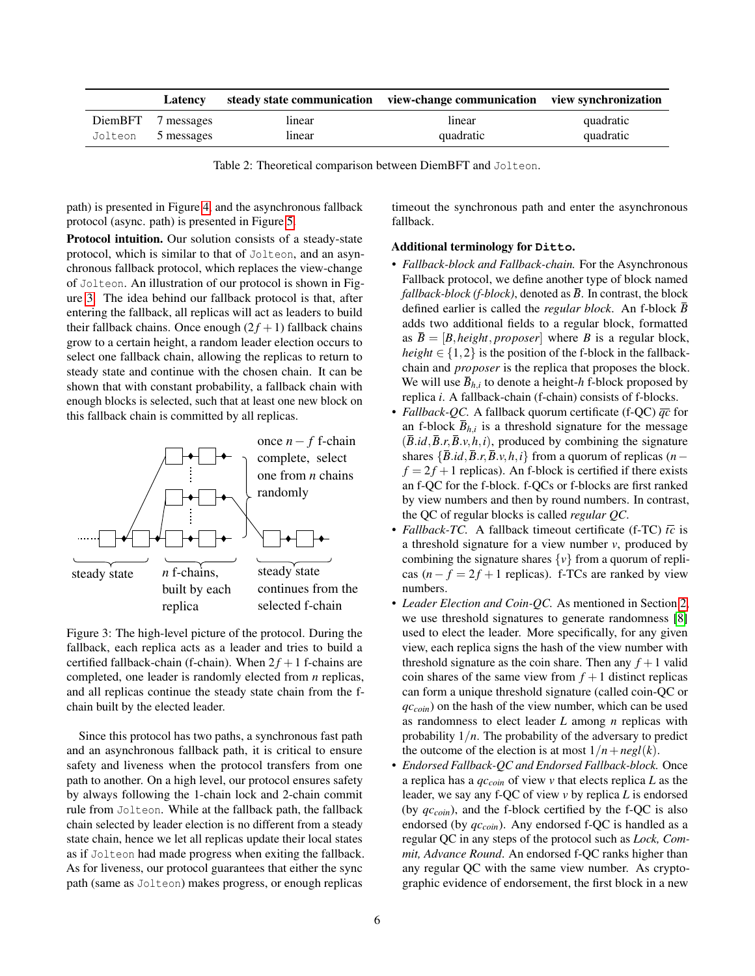<span id="page-5-0"></span>

| Latency            |        | steady state communication view-change communication view synchronization |           |
|--------------------|--------|---------------------------------------------------------------------------|-----------|
| DiemBFT 7 messages | linear | linear                                                                    | quadratic |
| Jolteon 5 messages | linear | quadratic                                                                 | quadratic |

Table 2: Theoretical comparison between DiemBFT and Jolteon.

path) is presented in Figure [4,](#page-7-0) and the asynchronous fallback protocol (async. path) is presented in Figure [5.](#page-8-1)

Protocol intuition. Our solution consists of a steady-state protocol, which is similar to that of Jolteon, and an asynchronous fallback protocol, which replaces the view-change of Jolteon. An illustration of our protocol is shown in Figure [3.](#page-5-1) The idea behind our fallback protocol is that, after entering the fallback, all replicas will act as leaders to build their fallback chains. Once enough  $(2f + 1)$  fallback chains grow to a certain height, a random leader election occurs to select one fallback chain, allowing the replicas to return to steady state and continue with the chosen chain. It can be shown that with constant probability, a fallback chain with enough blocks is selected, such that at least one new block on this fallback chain is committed by all replicas.

<span id="page-5-1"></span>

Figure 3: The high-level picture of the protocol. During the fallback, each replica acts as a leader and tries to build a certified fallback-chain (f-chain). When  $2f + 1$  f-chains are completed, one leader is randomly elected from *n* replicas, and all replicas continue the steady state chain from the fchain built by the elected leader.

Since this protocol has two paths, a synchronous fast path and an asynchronous fallback path, it is critical to ensure safety and liveness when the protocol transfers from one path to another. On a high level, our protocol ensures safety by always following the 1-chain lock and 2-chain commit rule from Jolteon. While at the fallback path, the fallback chain selected by leader election is no different from a steady state chain, hence we let all replicas update their local states as if Jolteon had made progress when exiting the fallback. As for liveness, our protocol guarantees that either the sync path (same as Jolteon) makes progress, or enough replicas

timeout the synchronous path and enter the asynchronous fallback.

#### Additional terminology for **Ditto**.

- *Fallback-block and Fallback-chain.* For the Asynchronous Fallback protocol, we define another type of block named *fallback-block (f-block)*, denoted as  $\overline{B}$ . In contrast, the block defined earlier is called the *regular block*. An f-block *B* adds two additional fields to a regular block, formatted as  $\overline{B} = [B, height, proposer]$  where *B* is a regular block, *height*  $\in \{1,2\}$  is the position of the f-block in the fallbackchain and *proposer* is the replica that proposes the block. We will use  $\bar{B}_{h,i}$  to denote a height-*h* f-block proposed by replica *i*. A fallback-chain (f-chain) consists of f-blocks.
- *Fallback-QC.* A fallback quorum certificate (f-QC) *qc* for an f-block  $\bar{B}_{h,i}$  is a threshold signature for the message  $(\overline{B}.id, \overline{B}.r, \overline{B}.v, h, i)$ , produced by combining the signature shares  $\{\overline{B}.id,\overline{B}.r,\overline{B}.v,h,i\}$  from a quorum of replicas (*n* −  $f = 2f + 1$  replicas). An f-block is certified if there exists an f-QC for the f-block. f-QCs or f-blocks are first ranked by view numbers and then by round numbers. In contrast, the QC of regular blocks is called *regular QC*.
- *Fallback-TC.* A fallback timeout certificate (f-TC)  $\bar{t}c$  is a threshold signature for a view number *v*, produced by combining the signature shares  $\{v\}$  from a quorum of replicas  $(n - f = 2f + 1)$  replicas). f-TCs are ranked by view numbers.
- *Leader Election and Coin-QC.* As mentioned in Section [2,](#page-1-1) we use threshold signatures to generate randomness [\[8\]](#page-13-8) used to elect the leader. More specifically, for any given view, each replica signs the hash of the view number with threshold signature as the coin share. Then any  $f + 1$  valid coin shares of the same view from  $f + 1$  distinct replicas can form a unique threshold signature (called coin-QC or *qccoin*) on the hash of the view number, which can be used as randomness to elect leader *L* among *n* replicas with probability 1/*n*. The probability of the adversary to predict the outcome of the election is at most  $1/n + negl(k)$ .
- *Endorsed Fallback-QC and Endorsed Fallback-block.* Once a replica has a *qccoin* of view *v* that elects replica *L* as the leader, we say any f-QC of view *v* by replica *L* is endorsed (by *qccoin*), and the f-block certified by the f-QC is also endorsed (by *qccoin*). Any endorsed f-QC is handled as a regular QC in any steps of the protocol such as *Lock, Commit, Advance Round*. An endorsed f-QC ranks higher than any regular QC with the same view number. As cryptographic evidence of endorsement, the first block in a new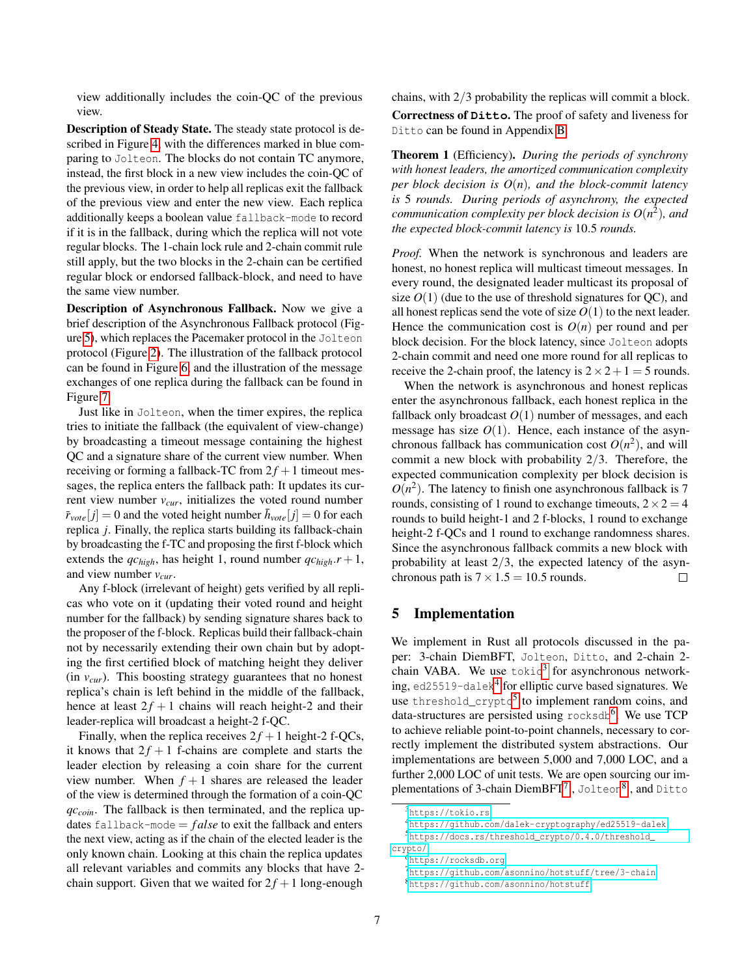view additionally includes the coin-QC of the previous view.

Description of Steady State. The steady state protocol is described in Figure [4,](#page-7-0) with the differences marked in blue comparing to Jolteon. The blocks do not contain TC anymore, instead, the first block in a new view includes the coin-QC of the previous view, in order to help all replicas exit the fallback of the previous view and enter the new view. Each replica additionally keeps a boolean value fallback-mode to record if it is in the fallback, during which the replica will not vote regular blocks. The 1-chain lock rule and 2-chain commit rule still apply, but the two blocks in the 2-chain can be certified regular block or endorsed fallback-block, and need to have the same view number.

Description of Asynchronous Fallback. Now we give a brief description of the Asynchronous Fallback protocol (Figure [5\)](#page-8-1), which replaces the Pacemaker protocol in the Jolteon protocol (Figure [2\)](#page-4-1). The illustration of the fallback protocol can be found in Figure [6,](#page-8-2) and the illustration of the message exchanges of one replica during the fallback can be found in Figure [7.](#page-8-3)

Just like in Jolteon, when the timer expires, the replica tries to initiate the fallback (the equivalent of view-change) by broadcasting a timeout message containing the highest QC and a signature share of the current view number. When receiving or forming a fallback-TC from  $2f + 1$  timeout messages, the replica enters the fallback path: It updates its current view number *vcur*, initializes the voted round number  $\bar{r}_{\text{vote}}[j] = 0$  and the voted height number  $\bar{h}_{\text{vote}}[j] = 0$  for each replica *j*. Finally, the replica starts building its fallback-chain by broadcasting the f-TC and proposing the first f-block which extends the  $qc_{high}$ , has height 1, round number  $qc_{high}.r + 1$ , and view number *vcur*.

Any f-block (irrelevant of height) gets verified by all replicas who vote on it (updating their voted round and height number for the fallback) by sending signature shares back to the proposer of the f-block. Replicas build their fallback-chain not by necessarily extending their own chain but by adopting the first certified block of matching height they deliver (in *vcur*). This boosting strategy guarantees that no honest replica's chain is left behind in the middle of the fallback, hence at least  $2f + 1$  chains will reach height-2 and their leader-replica will broadcast a height-2 f-QC.

Finally, when the replica receives  $2f + 1$  height-2 f-QCs, it knows that  $2f + 1$  f-chains are complete and starts the leader election by releasing a coin share for the current view number. When  $f + 1$  shares are released the leader of the view is determined through the formation of a coin-QC *qccoin*. The fallback is then terminated, and the replica updates fallback-mode  $= false$  to exit the fallback and enters the next view, acting as if the chain of the elected leader is the only known chain. Looking at this chain the replica updates all relevant variables and commits any blocks that have 2 chain support. Given that we waited for  $2f + 1$  long-enough

chains, with 2/3 probability the replicas will commit a block. Correctness of **Ditto**. The proof of safety and liveness for Ditto can be found in Appendix [B.](#page-17-0)

Theorem 1 (Efficiency). *During the periods of synchrony with honest leaders, the amortized communication complexity per block decision is*  $O(n)$ *, and the block-commit latency is* 5 *rounds. During periods of asynchrony, the expected communication complexity per block decision is O*(*n* 2 )*, and the expected block-commit latency is* 10.5 *rounds.*

*Proof.* When the network is synchronous and leaders are honest, no honest replica will multicast timeout messages. In every round, the designated leader multicast its proposal of size  $O(1)$  (due to the use of threshold signatures for QC), and all honest replicas send the vote of size  $O(1)$  to the next leader. Hence the communication cost is  $O(n)$  per round and per block decision. For the block latency, since Jolteon adopts 2-chain commit and need one more round for all replicas to receive the 2-chain proof, the latency is  $2 \times 2 + 1 = 5$  rounds.

When the network is asynchronous and honest replicas enter the asynchronous fallback, each honest replica in the fallback only broadcast  $O(1)$  number of messages, and each message has size  $O(1)$ . Hence, each instance of the asynchronous fallback has communication cost  $O(n^2)$ , and will commit a new block with probability 2/3. Therefore, the expected communication complexity per block decision is  $O(n^2)$ . The latency to finish one asynchronous fallback is 7 rounds, consisting of 1 round to exchange timeouts,  $2 \times 2 = 4$ rounds to build height-1 and 2 f-blocks, 1 round to exchange height-2 f-OCs and 1 round to exchange randomness shares. Since the asynchronous fallback commits a new block with probability at least 2/3, the expected latency of the asynchronous path is  $7 \times 1.5 = 10.5$  rounds.  $\Box$ 

# 5 Implementation

We implement in Rust all protocols discussed in the paper: 3-chain DiemBFT, Jolteon, Ditto, and 2-chain 2 chain VABA. We use  $\text{tokio}^3$  $\text{tokio}^3$  for asynchronous network-ing, ed25519-dalek<sup>[4](#page-6-1)</sup> for elliptic curve based signatures. We use threshold\_crypto<sup>[5](#page-6-2)</sup> to implement random coins, and data-structures are persisted using rocksdb<sup>[6](#page-6-3)</sup>. We use TCP to achieve reliable point-to-point channels, necessary to correctly implement the distributed system abstractions. Our implementations are between 5,000 and 7,000 LOC, and a further 2,000 LOC of unit tests. We are open sourcing our im-plementations of 3-chain DiemBFT<sup>[7](#page-6-4)</sup> , Jolteon<sup>[8](#page-6-5)</sup> , and <code>Ditto</code>

<span id="page-6-1"></span><span id="page-6-0"></span><sup>3</sup><https://tokio.rs>

<span id="page-6-2"></span><sup>4</sup><https://github.com/dalek-cryptography/ed25519-dalek> <sup>5</sup>[https://docs.rs/threshold\\_crypto/0.4.0/threshold\\_](https://docs.rs/threshold_crypto/0.4.0/threshold_crypto/) [crypto/](https://docs.rs/threshold_crypto/0.4.0/threshold_crypto/)

<span id="page-6-3"></span><sup>6</sup><https://rocksdb.org>

<span id="page-6-5"></span><span id="page-6-4"></span><sup>7</sup><https://github.com/asonnino/hotstuff/tree/3-chain> <sup>8</sup><https://github.com/asonnino/hotstuff>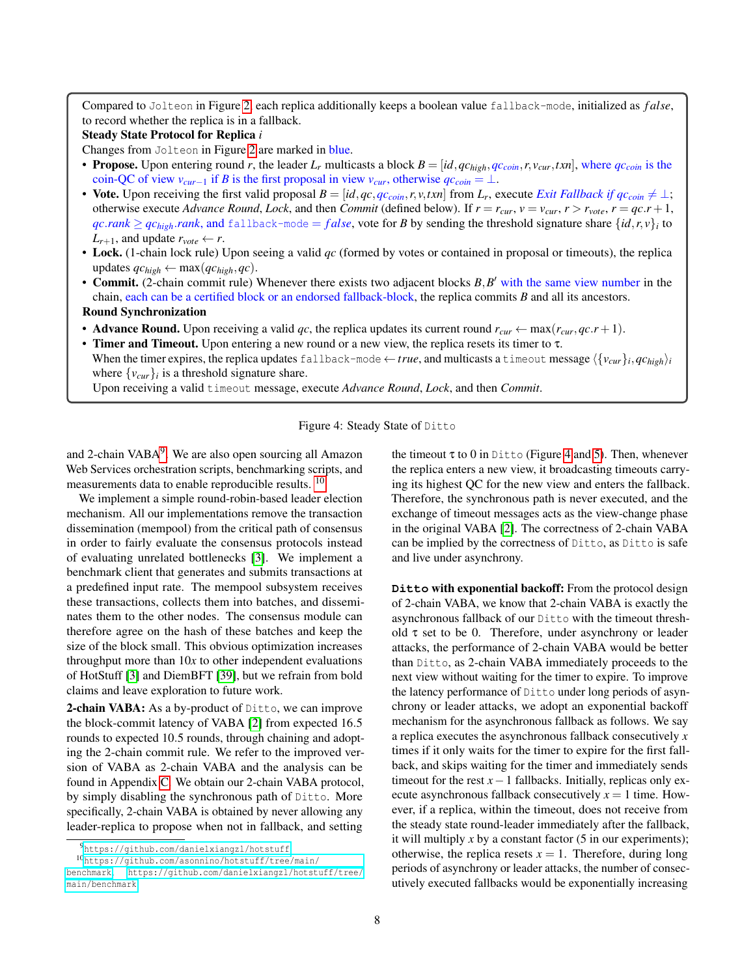<span id="page-7-0"></span>Compared to Jolteon in Figure [2,](#page-4-1) each replica additionally keeps a boolean value fallback-mode, initialized as *f alse*, to record whether the replica is in a fallback.

#### Steady State Protocol for Replica *i*

Changes from Jolteon in Figure [2](#page-4-1) are marked in blue.

- Propose. Upon entering round r, the leader  $L_r$  multicasts a block  $B = [id, qc_{high}, qc_{coin}, r, v_{cur}, txn]$ , where  $qc_{coin}$  is the coin-QC of view  $v_{cur-1}$  if *B* is the first proposal in view  $v_{cur}$ , otherwise  $q_c$ <sub>coin</sub> = ⊥.
- Vote. Upon receiving the first valid proposal  $B = [id, qc,qc_{coin},r, v, txn]$  from  $L_r$ , execute *Exit Fallback if*  $qc_{coin} \neq \bot$ ; otherwise execute *Advance Round*, *Lock*, and then *Commit* (defined below). If  $r = r_{cur}$ ,  $v = v_{cur}$ ,  $r > r_{vote}$ ,  $r = qc.r + 1$ ,  $qc\text{.rank} \ge qc\text{.high}$ .*rank*, and fallback-mode = *false*, vote for *B* by sending the threshold signature share  $\{id, r, v\}_i$  to  $L_{r+1}$ , and update  $r_{\text{vote}} \leftarrow r$ .
- Lock. (1-chain lock rule) Upon seeing a valid *qc* (formed by votes or contained in proposal or timeouts), the replica updates  $qc_{high} \leftarrow \max(qc_{high}, qc)$ .
- Commit. (2-chain commit rule) Whenever there exists two adjacent blocks  $B, B'$  with the same view number in the chain, each can be a certified block or an endorsed fallback-block, the replica commits *B* and all its ancestors.

#### Round Synchronization

- Advance Round. Upon receiving a valid qc, the replica updates its current round  $r_{cur} \leftarrow \max(r_{cur}, qc.r + 1)$ .
- Timer and Timeout. Upon entering a new round or a new view, the replica resets its timer to  $\tau$ . When the timer expires, the replica updates <code>fallback-mode</code>  $\leftarrow$  *true*, and multicasts a <code>timeout</code> message  $\langle\{v_{cur}\}_i,qc_{high}\rangle_i$

where  $\{v_{\text{cur}}\}_i$  is a threshold signature share.

Upon receiving a valid timeout message, execute *Advance Round*, *Lock*, and then *Commit*.



and 2-chain VABA<sup>[9](#page-7-1)</sup>. We are also open sourcing all Amazon Web Services orchestration scripts, benchmarking scripts, and measurements data to enable reproducible results. <sup>[10](#page-7-2)</sup>

We implement a simple round-robin-based leader election mechanism. All our implementations remove the transaction dissemination (mempool) from the critical path of consensus in order to fairly evaluate the consensus protocols instead of evaluating unrelated bottlenecks [\[3\]](#page-13-10). We implement a benchmark client that generates and submits transactions at a predefined input rate. The mempool subsystem receives these transactions, collects them into batches, and disseminates them to the other nodes. The consensus module can therefore agree on the hash of these batches and keep the size of the block small. This obvious optimization increases throughput more than 10*x* to other independent evaluations of HotStuff [\[3\]](#page-13-10) and DiemBFT [\[39\]](#page-14-8), but we refrain from bold claims and leave exploration to future work.

2-chain VABA: As a by-product of Ditto, we can improve the block-commit latency of VABA [\[2\]](#page-13-2) from expected 16.5 rounds to expected 10.5 rounds, through chaining and adopting the 2-chain commit rule. We refer to the improved version of VABA as 2-chain VABA and the analysis can be found in Appendix [C.](#page-19-0) We obtain our 2-chain VABA protocol, by simply disabling the synchronous path of Ditto. More specifically, 2-chain VABA is obtained by never allowing any leader-replica to propose when not in fallback, and setting

the timeout  $\tau$  to 0 in Ditto (Figure [4](#page-7-0) and [5\)](#page-8-1). Then, whenever the replica enters a new view, it broadcasting timeouts carrying its highest QC for the new view and enters the fallback. Therefore, the synchronous path is never executed, and the exchange of timeout messages acts as the view-change phase in the original VABA [\[2\]](#page-13-2). The correctness of 2-chain VABA can be implied by the correctness of Ditto, as Ditto is safe and live under asynchrony.

**Ditto** with exponential backoff: From the protocol design of 2-chain VABA, we know that 2-chain VABA is exactly the asynchronous fallback of our Ditto with the timeout threshold  $\tau$  set to be 0. Therefore, under asynchrony or leader attacks, the performance of 2-chain VABA would be better than Ditto, as 2-chain VABA immediately proceeds to the next view without waiting for the timer to expire. To improve the latency performance of Ditto under long periods of asynchrony or leader attacks, we adopt an exponential backoff mechanism for the asynchronous fallback as follows. We say a replica executes the asynchronous fallback consecutively *x* times if it only waits for the timer to expire for the first fallback, and skips waiting for the timer and immediately sends timeout for the rest  $x-1$  fallbacks. Initially, replicas only execute asynchronous fallback consecutively  $x = 1$  time. However, if a replica, within the timeout, does not receive from the steady state round-leader immediately after the fallback, it will multiply  $x$  by a constant factor  $(5 \text{ in our experiments});$ otherwise, the replica resets  $x = 1$ . Therefore, during long periods of asynchrony or leader attacks, the number of consecutively executed fallbacks would be exponentially increasing

<span id="page-7-2"></span><span id="page-7-1"></span><sup>9</sup><https://github.com/danielxiangzl/hotstuff>

<sup>10</sup>[https://github.com/asonnino/hotstuff/tree/main/](https://github.com/asonnino/hotstuff/tree/main/benchmark)

[benchmark](https://github.com/asonnino/hotstuff/tree/main/benchmark), [https://github.com/danielxiangzl/hotstuff/tree/](https://github.com/danielxiangzl/hotstuff/tree/main/benchmark) [main/benchmark](https://github.com/danielxiangzl/hotstuff/tree/main/benchmark)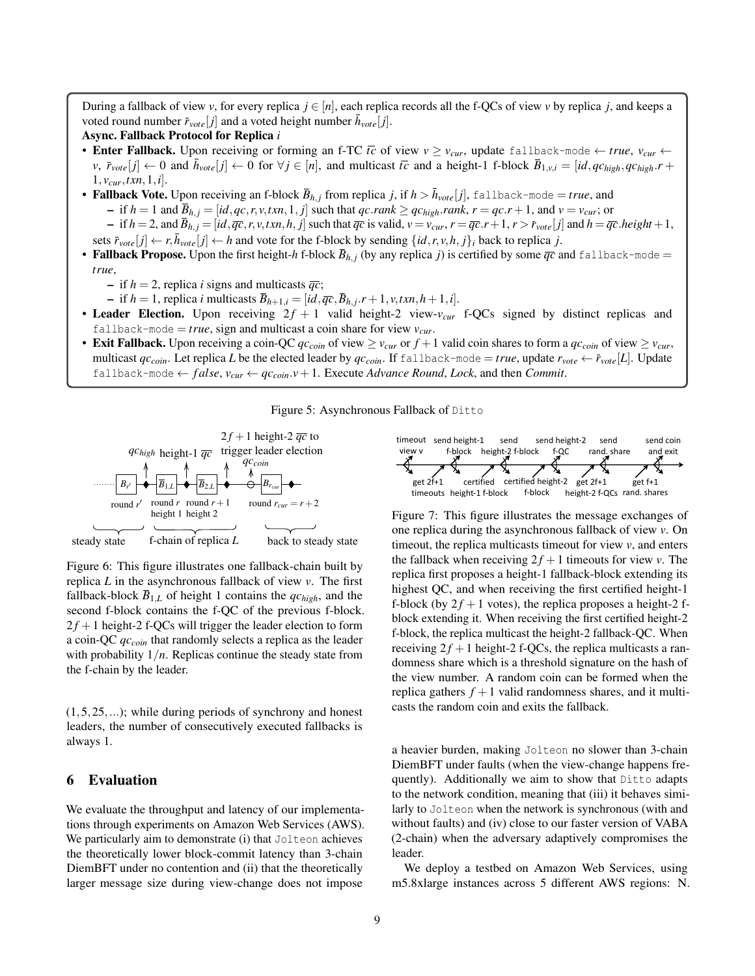<span id="page-8-1"></span>During a fallback of view *v*, for every replica  $j \in [n]$ , each replica records all the f-QCs of view *v* by replica *j*, and keeps a voted round number  $\bar{r}_{\text{vote}}[j]$  and a voted height number  $\bar{h}_{\text{vote}}[j]$ .

### Async. Fallback Protocol for Replica *i*

- **Enter Fallback.** Upon receiving or forming an f-TC  $\bar{t}c$  of view  $v \geq v_{cur}$ , update fallback-mode  $\leftarrow true$ ,  $v_{cur} \leftarrow$  $\forall v, \vec{r}_{\text{vote}}[j] \leftarrow 0$  and  $\vec{h}_{\text{vote}}[j] \leftarrow 0$  for  $\forall j \in [n]$ , and multicast  $\vec{tc}$  and a height-1 f-block  $\vec{B}_{1,v,i} = [id, qc_{high}, qc_{high}, r+1]$  $1, v_{cur}, txn, 1, i$ .
- Fallback Vote. Upon receiving an f-block  $\bar{B}_{h,j}$  from replica *j*, if  $h > \bar{h}_{vote}[j]$ , fallback-mode = *true*, and - if  $h = 1$  and  $\overline{B}_{h,j} = [id, qc, r, v, txn, 1, j]$  such that  $qc\cdot rank \ge qc_{high}\cdot rank, r = qc.r + 1$ , and  $v = v_{cur}$ ; or  $-$  if  $h = 2$ , and  $\overline{B}_{h,j} = [id, \overline{qc}, r, v, txn, h, j]$  such that  $\overline{qc}$  is valid,  $v = v_{cur}$ ,  $r = \overline{qc}.r + 1$ ,  $r > \overline{r}_{vote}[j]$  and  $h = \overline{qc}.height + 1$ , sets  $\bar{r}_{\text{vote}}[j] \leftarrow r, \bar{h}_{\text{vote}}[j] \leftarrow h$  and vote for the f-block by sending  $\{id, r, v, h, j\}$ *i* back to replica *j*.
- Fallback Propose. Upon the first height-*h* f-block  $\bar{B}_{h,i}$  (by any replica *j*) is certified by some  $\bar{q}c$  and fallback-mode = *true*,
	- $-$  if  $h = 2$ , replica *i* signs and multicasts  $\overline{qc}$ ;
	- $\bar{B}_{h+1,i} = [id, \overline{qc}, \overline{B}_{h,j}, r+1, v, txn, h+1, i].$
- Leader Election. Upon receiving  $2f + 1$  valid height-2 view- $v_{cur}$  f-QCs signed by distinct replicas and fallback-mode =  $true$ , sign and multicast a coin share for view  $v_{cur}$ .
- Exit Fallback. Upon receiving a coin-QC  $qc_{coin}$  of view  $\geq v_{cur}$  or  $f + 1$  valid coin shares to form a  $qc_{coin}$  of view  $\geq v_{cur}$ , multicast  $qc_{coin}$ . Let replica *L* be the elected leader by  $qc_{coin}$ . If fallback-mode = *true*, update  $r_{vote} \leftarrow r_{vote}[L]$ . Update fallback-mode  $\leftarrow$  *false*,  $v_{cur} \leftarrow q_{\text{Ccoin}} \cdot v + 1$ . Execute *Advance Round*, *Lock*, and then *Commit*.



<span id="page-8-2"></span>

Figure 6: This figure illustrates one fallback-chain built by replica *L* in the asynchronous fallback of view *v*. The first fallback-block  $\bar{B}_{1,L}$  of height 1 contains the  $qc_{high}$ , and the second f-block contains the f-QC of the previous f-block.  $2f + 1$  height-2 f-QCs will trigger the leader election to form a coin-QC *qccoin* that randomly selects a replica as the leader with probability 1/*n*. Replicas continue the steady state from the f-chain by the leader.

 $(1,5,25,...)$ ; while during periods of synchrony and honest leaders, the number of consecutively executed fallbacks is always 1.

### <span id="page-8-0"></span>6 Evaluation

We evaluate the throughput and latency of our implementations through experiments on Amazon Web Services (AWS). We particularly aim to demonstrate (i) that Jolteon achieves the theoretically lower block-commit latency than 3-chain DiemBFT under no contention and (ii) that the theoretically larger message size during view-change does not impose

<span id="page-8-3"></span>

Figure 7: This figure illustrates the message exchanges of one replica during the asynchronous fallback of view *v*. On timeout, the replica multicasts timeout for view *v*, and enters the fallback when receiving  $2f + 1$  timeouts for view *v*. The replica first proposes a height-1 fallback-block extending its highest QC, and when receiving the first certified height-1 f-block (by  $2f + 1$  votes), the replica proposes a height-2 fblock extending it. When receiving the first certified height-2 f-block, the replica multicast the height-2 fallback-QC. When receiving  $2f + 1$  height-2 f-QCs, the replica multicasts a randomness share which is a threshold signature on the hash of the view number. A random coin can be formed when the replica gathers  $f + 1$  valid randomness shares, and it multicasts the random coin and exits the fallback.

a heavier burden, making Jolteon no slower than 3-chain DiemBFT under faults (when the view-change happens frequently). Additionally we aim to show that Ditto adapts to the network condition, meaning that (iii) it behaves similarly to Jolteon when the network is synchronous (with and without faults) and (iv) close to our faster version of VABA (2-chain) when the adversary adaptively compromises the leader.

We deploy a testbed on Amazon Web Services, using m5.8xlarge instances across 5 different AWS regions: N.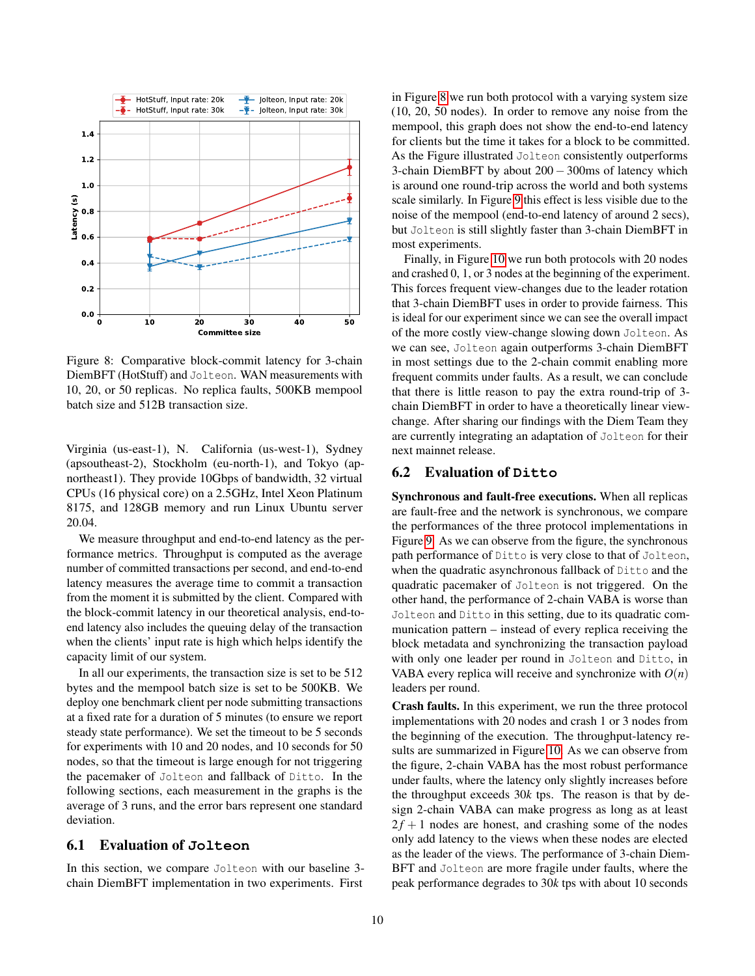<span id="page-9-0"></span>

Figure 8: Comparative block-commit latency for 3-chain DiemBFT (HotStuff) and Jolteon. WAN measurements with 10, 20, or 50 replicas. No replica faults, 500KB mempool batch size and 512B transaction size.

Virginia (us-east-1), N. California (us-west-1), Sydney (apsoutheast-2), Stockholm (eu-north-1), and Tokyo (apnortheast1). They provide 10Gbps of bandwidth, 32 virtual CPUs (16 physical core) on a 2.5GHz, Intel Xeon Platinum 8175, and 128GB memory and run Linux Ubuntu server 20.04.

We measure throughput and end-to-end latency as the performance metrics. Throughput is computed as the average number of committed transactions per second, and end-to-end latency measures the average time to commit a transaction from the moment it is submitted by the client. Compared with the block-commit latency in our theoretical analysis, end-toend latency also includes the queuing delay of the transaction when the clients' input rate is high which helps identify the capacity limit of our system.

In all our experiments, the transaction size is set to be 512 bytes and the mempool batch size is set to be 500KB. We deploy one benchmark client per node submitting transactions at a fixed rate for a duration of 5 minutes (to ensure we report steady state performance). We set the timeout to be 5 seconds for experiments with 10 and 20 nodes, and 10 seconds for 50 nodes, so that the timeout is large enough for not triggering the pacemaker of Jolteon and fallback of Ditto. In the following sections, each measurement in the graphs is the average of 3 runs, and the error bars represent one standard deviation.

#### 6.1 Evaluation of **Jolteon**

In this section, we compare Jolteon with our baseline 3 chain DiemBFT implementation in two experiments. First

in Figure [8](#page-9-0) we run both protocol with a varying system size (10, 20, 50 nodes). In order to remove any noise from the mempool, this graph does not show the end-to-end latency for clients but the time it takes for a block to be committed. As the Figure illustrated Jolteon consistently outperforms 3-chain DiemBFT by about 200 − 300ms of latency which is around one round-trip across the world and both systems scale similarly. In Figure [9](#page-10-0) this effect is less visible due to the noise of the mempool (end-to-end latency of around 2 secs), but Jolteon is still slightly faster than 3-chain DiemBFT in most experiments.

Finally, in Figure [10](#page-11-1) we run both protocols with 20 nodes and crashed 0, 1, or 3 nodes at the beginning of the experiment. This forces frequent view-changes due to the leader rotation that 3-chain DiemBFT uses in order to provide fairness. This is ideal for our experiment since we can see the overall impact of the more costly view-change slowing down Jolteon. As we can see, Jolteon again outperforms 3-chain DiemBFT in most settings due to the 2-chain commit enabling more frequent commits under faults. As a result, we can conclude that there is little reason to pay the extra round-trip of 3 chain DiemBFT in order to have a theoretically linear viewchange. After sharing our findings with the Diem Team they are currently integrating an adaptation of Jolteon for their next mainnet release.

#### 6.2 Evaluation of **Ditto**

Synchronous and fault-free executions. When all replicas are fault-free and the network is synchronous, we compare the performances of the three protocol implementations in Figure [9.](#page-10-0) As we can observe from the figure, the synchronous path performance of Ditto is very close to that of Jolteon, when the quadratic asynchronous fallback of Ditto and the quadratic pacemaker of Jolteon is not triggered. On the other hand, the performance of 2-chain VABA is worse than Jolteon and Ditto in this setting, due to its quadratic communication pattern – instead of every replica receiving the block metadata and synchronizing the transaction payload with only one leader per round in Jolteon and Ditto, in VABA every replica will receive and synchronize with  $O(n)$ leaders per round.

Crash faults. In this experiment, we run the three protocol implementations with 20 nodes and crash 1 or 3 nodes from the beginning of the execution. The throughput-latency results are summarized in Figure [10.](#page-11-1) As we can observe from the figure, 2-chain VABA has the most robust performance under faults, where the latency only slightly increases before the throughput exceeds  $30k$  tps. The reason is that by design 2-chain VABA can make progress as long as at least  $2f + 1$  nodes are honest, and crashing some of the nodes only add latency to the views when these nodes are elected as the leader of the views. The performance of 3-chain Diem-BFT and Jolteon are more fragile under faults, where the peak performance degrades to 30*k* tps with about 10 seconds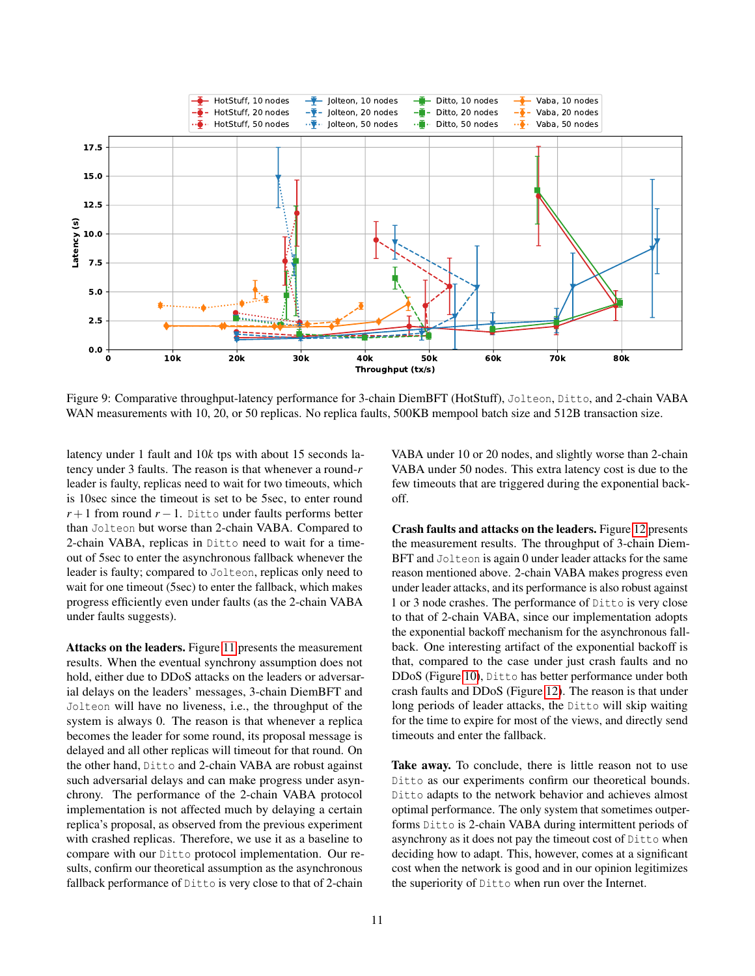<span id="page-10-0"></span>

Figure 9: Comparative throughput-latency performance for 3-chain DiemBFT (HotStuff), Jolteon, Ditto, and 2-chain VABA WAN measurements with 10, 20, or 50 replicas. No replica faults, 500KB mempool batch size and 512B transaction size.

latency under 1 fault and 10*k* tps with about 15 seconds latency under 3 faults. The reason is that whenever a round-*r* leader is faulty, replicas need to wait for two timeouts, which is 10sec since the timeout is set to be 5sec, to enter round  $r+1$  from round  $r-1$ . Ditto under faults performs better than Jolteon but worse than 2-chain VABA. Compared to 2-chain VABA, replicas in Ditto need to wait for a timeout of 5sec to enter the asynchronous fallback whenever the leader is faulty; compared to Jolteon, replicas only need to wait for one timeout (5sec) to enter the fallback, which makes progress efficiently even under faults (as the 2-chain VABA under faults suggests).

Attacks on the leaders. Figure [11](#page-12-0) presents the measurement results. When the eventual synchrony assumption does not hold, either due to DDoS attacks on the leaders or adversarial delays on the leaders' messages, 3-chain DiemBFT and Jolteon will have no liveness, i.e., the throughput of the system is always 0. The reason is that whenever a replica becomes the leader for some round, its proposal message is delayed and all other replicas will timeout for that round. On the other hand, Ditto and 2-chain VABA are robust against such adversarial delays and can make progress under asynchrony. The performance of the 2-chain VABA protocol implementation is not affected much by delaying a certain replica's proposal, as observed from the previous experiment with crashed replicas. Therefore, we use it as a baseline to compare with our Ditto protocol implementation. Our results, confirm our theoretical assumption as the asynchronous fallback performance of Ditto is very close to that of 2-chain

VABA under 10 or 20 nodes, and slightly worse than 2-chain VABA under 50 nodes. This extra latency cost is due to the few timeouts that are triggered during the exponential backoff.

Crash faults and attacks on the leaders. Figure [12](#page-12-1) presents the measurement results. The throughput of 3-chain Diem-BFT and Jolteon is again 0 under leader attacks for the same reason mentioned above. 2-chain VABA makes progress even under leader attacks, and its performance is also robust against 1 or 3 node crashes. The performance of Ditto is very close to that of 2-chain VABA, since our implementation adopts the exponential backoff mechanism for the asynchronous fallback. One interesting artifact of the exponential backoff is that, compared to the case under just crash faults and no DDoS (Figure [10\)](#page-11-1), Ditto has better performance under both crash faults and DDoS (Figure [12\)](#page-12-1). The reason is that under long periods of leader attacks, the Ditto will skip waiting for the time to expire for most of the views, and directly send timeouts and enter the fallback.

Take away. To conclude, there is little reason not to use Ditto as our experiments confirm our theoretical bounds. Ditto adapts to the network behavior and achieves almost optimal performance. The only system that sometimes outperforms Ditto is 2-chain VABA during intermittent periods of asynchrony as it does not pay the timeout cost of Ditto when deciding how to adapt. This, however, comes at a significant cost when the network is good and in our opinion legitimizes the superiority of Ditto when run over the Internet.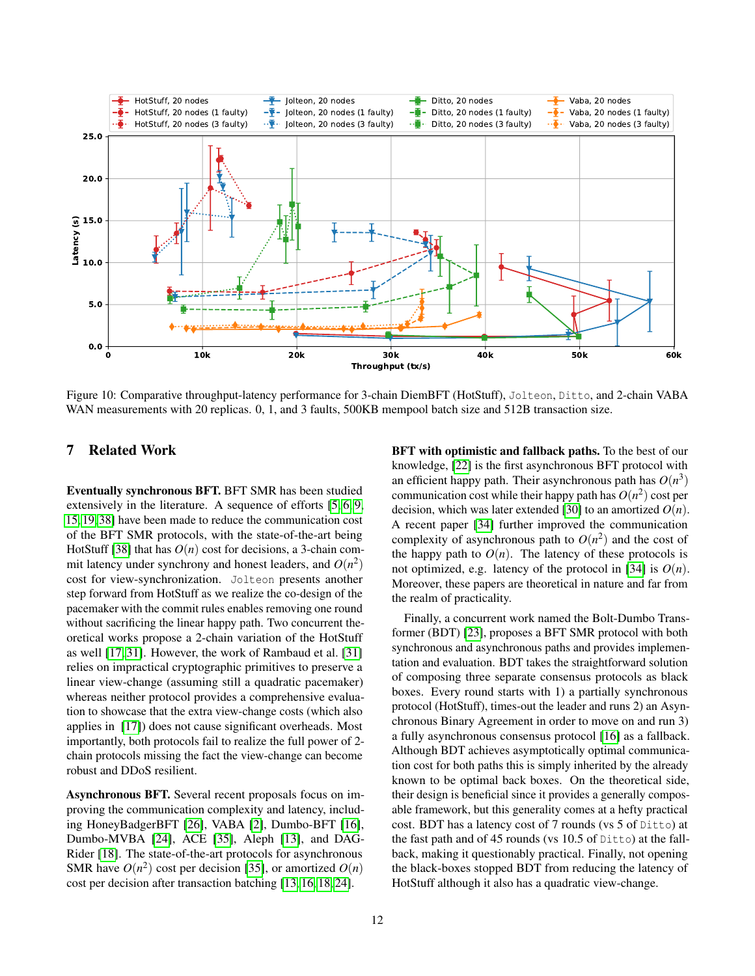<span id="page-11-1"></span>

Figure 10: Comparative throughput-latency performance for 3-chain DiemBFT (HotStuff), Jolteon, Ditto, and 2-chain VABA WAN measurements with 20 replicas. 0, 1, and 3 faults, 500KB mempool batch size and 512B transaction size.

# <span id="page-11-0"></span>7 Related Work

Eventually synchronous BFT. BFT SMR has been studied extensively in the literature. A sequence of efforts [\[5,](#page-13-11) [6,](#page-13-12) [9,](#page-13-3) [15,](#page-13-1) [19,](#page-13-0) [38\]](#page-14-0) have been made to reduce the communication cost of the BFT SMR protocols, with the state-of-the-art being HotStuff [\[38\]](#page-14-0) that has  $O(n)$  cost for decisions, a 3-chain commit latency under synchrony and honest leaders, and  $O(n^2)$ cost for view-synchronization. Jolteon presents another step forward from HotStuff as we realize the co-design of the pacemaker with the commit rules enables removing one round without sacrificing the linear happy path. Two concurrent theoretical works propose a 2-chain variation of the HotStuff as well [\[17,](#page-13-13) [31\]](#page-14-9). However, the work of Rambaud et al. [\[31\]](#page-14-9) relies on impractical cryptographic primitives to preserve a linear view-change (assuming still a quadratic pacemaker) whereas neither protocol provides a comprehensive evaluation to showcase that the extra view-change costs (which also applies in [\[17\]](#page-13-13)) does not cause significant overheads. Most importantly, both protocols fail to realize the full power of 2 chain protocols missing the fact the view-change can become robust and DDoS resilient.

Asynchronous BFT. Several recent proposals focus on improving the communication complexity and latency, including HoneyBadgerBFT [\[26\]](#page-14-10), VABA [\[2\]](#page-13-2), Dumbo-BFT [\[16\]](#page-13-14), Dumbo-MVBA [\[24\]](#page-14-1), ACE [\[35\]](#page-14-2), Aleph [\[13\]](#page-13-15), and DAG-Rider [\[18\]](#page-13-16). The state-of-the-art protocols for asynchronous SMR have  $O(n^2)$  cost per decision [\[35\]](#page-14-2), or amortized  $O(n)$ cost per decision after transaction batching [\[13,](#page-13-15) [16,](#page-13-14) [18,](#page-13-16) [24\]](#page-14-1).

BFT with optimistic and fallback paths. To the best of our knowledge, [\[22\]](#page-14-3) is the first asynchronous BFT protocol with an efficient happy path. Their asynchronous path has  $O(n^3)$ communication cost while their happy path has  $O(n^2)$  cost per decision, which was later extended [\[30\]](#page-14-4) to an amortized  $O(n)$ . A recent paper [\[34\]](#page-14-5) further improved the communication complexity of asynchronous path to  $O(n^2)$  and the cost of the happy path to  $O(n)$ . The latency of these protocols is not optimized, e.g. latency of the protocol in [\[34\]](#page-14-5) is  $O(n)$ . Moreover, these papers are theoretical in nature and far from the realm of practicality.

Finally, a concurrent work named the Bolt-Dumbo Transformer (BDT) [\[23\]](#page-14-11), proposes a BFT SMR protocol with both synchronous and asynchronous paths and provides implementation and evaluation. BDT takes the straightforward solution of composing three separate consensus protocols as black boxes. Every round starts with 1) a partially synchronous protocol (HotStuff), times-out the leader and runs 2) an Asynchronous Binary Agreement in order to move on and run 3) a fully asynchronous consensus protocol [\[16\]](#page-13-14) as a fallback. Although BDT achieves asymptotically optimal communication cost for both paths this is simply inherited by the already known to be optimal back boxes. On the theoretical side, their design is beneficial since it provides a generally composable framework, but this generality comes at a hefty practical cost. BDT has a latency cost of 7 rounds (vs 5 of Ditto) at the fast path and of 45 rounds (vs 10.5 of Ditto) at the fallback, making it questionably practical. Finally, not opening the black-boxes stopped BDT from reducing the latency of HotStuff although it also has a quadratic view-change.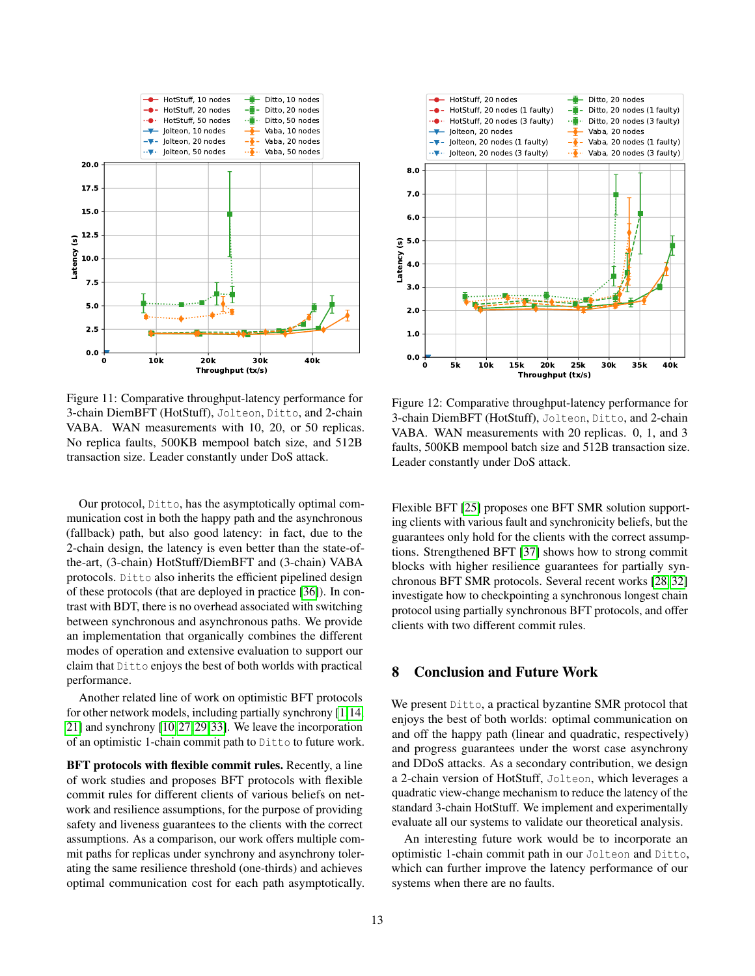<span id="page-12-0"></span>

Figure 11: Comparative throughput-latency performance for 3-chain DiemBFT (HotStuff), Jolteon, Ditto, and 2-chain VABA. WAN measurements with 10, 20, or 50 replicas. No replica faults, 500KB mempool batch size, and 512B transaction size. Leader constantly under DoS attack.

Our protocol, Ditto, has the asymptotically optimal communication cost in both the happy path and the asynchronous (fallback) path, but also good latency: in fact, due to the 2-chain design, the latency is even better than the state-ofthe-art, (3-chain) HotStuff/DiemBFT and (3-chain) VABA protocols. Ditto also inherits the efficient pipelined design of these protocols (that are deployed in practice [\[36\]](#page-14-6)). In contrast with BDT, there is no overhead associated with switching between synchronous and asynchronous paths. We provide an implementation that organically combines the different modes of operation and extensive evaluation to support our claim that Ditto enjoys the best of both worlds with practical performance.

Another related line of work on optimistic BFT protocols for other network models, including partially synchrony [\[1,](#page-13-17)[14,](#page-13-18) [21\]](#page-14-12) and synchrony [\[10,](#page-13-19)[27,](#page-14-13)[29,](#page-14-14)[33\]](#page-14-15). We leave the incorporation of an optimistic 1-chain commit path to Ditto to future work.

BFT protocols with flexible commit rules. Recently, a line of work studies and proposes BFT protocols with flexible commit rules for different clients of various beliefs on network and resilience assumptions, for the purpose of providing safety and liveness guarantees to the clients with the correct assumptions. As a comparison, our work offers multiple commit paths for replicas under synchrony and asynchrony tolerating the same resilience threshold (one-thirds) and achieves optimal communication cost for each path asymptotically.

<span id="page-12-1"></span>

Figure 12: Comparative throughput-latency performance for 3-chain DiemBFT (HotStuff), Jolteon, Ditto, and 2-chain VABA. WAN measurements with 20 replicas. 0, 1, and 3 faults, 500KB mempool batch size and 512B transaction size. Leader constantly under DoS attack.

Flexible BFT [\[25\]](#page-14-16) proposes one BFT SMR solution supporting clients with various fault and synchronicity beliefs, but the guarantees only hold for the clients with the correct assumptions. Strengthened BFT [\[37\]](#page-14-17) shows how to strong commit blocks with higher resilience guarantees for partially synchronous BFT SMR protocols. Several recent works [\[28,](#page-14-18) [32\]](#page-14-19) investigate how to checkpointing a synchronous longest chain protocol using partially synchronous BFT protocols, and offer clients with two different commit rules.

### 8 Conclusion and Future Work

We present Ditto, a practical byzantine SMR protocol that enjoys the best of both worlds: optimal communication on and off the happy path (linear and quadratic, respectively) and progress guarantees under the worst case asynchrony and DDoS attacks. As a secondary contribution, we design a 2-chain version of HotStuff, Jolteon, which leverages a quadratic view-change mechanism to reduce the latency of the standard 3-chain HotStuff. We implement and experimentally evaluate all our systems to validate our theoretical analysis.

An interesting future work would be to incorporate an optimistic 1-chain commit path in our Jolteon and Ditto, which can further improve the latency performance of our systems when there are no faults.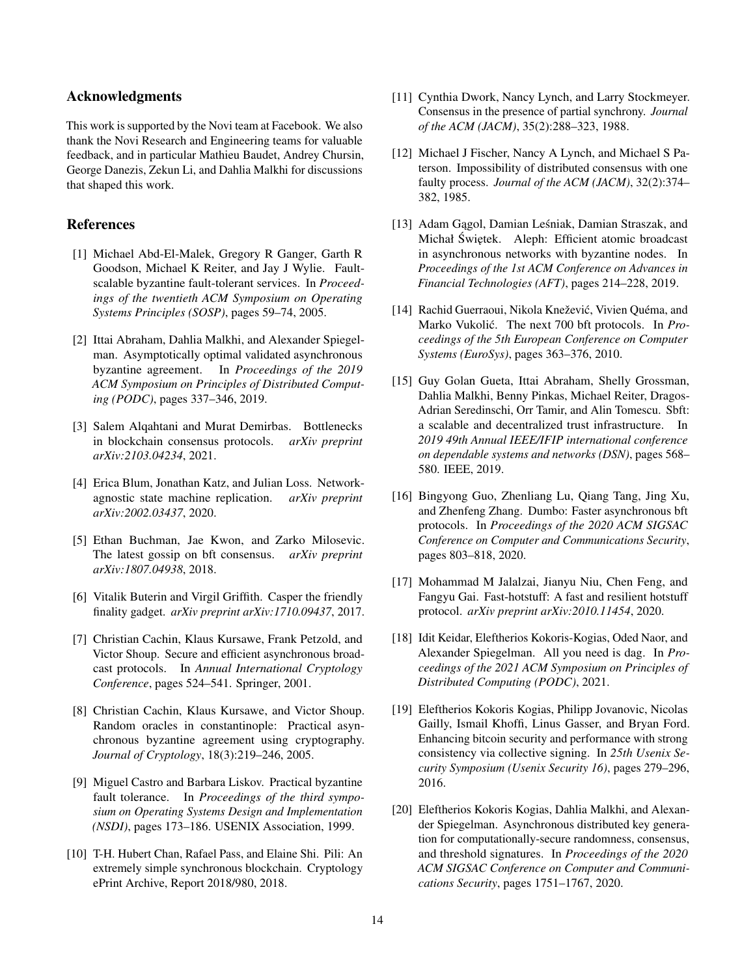### Acknowledgments

This work is supported by the Novi team at Facebook. We also thank the Novi Research and Engineering teams for valuable feedback, and in particular Mathieu Baudet, Andrey Chursin, George Danezis, Zekun Li, and Dahlia Malkhi for discussions that shaped this work.

# References

- <span id="page-13-17"></span>[1] Michael Abd-El-Malek, Gregory R Ganger, Garth R Goodson, Michael K Reiter, and Jay J Wylie. Faultscalable byzantine fault-tolerant services. In *Proceedings of the twentieth ACM Symposium on Operating Systems Principles (SOSP)*, pages 59–74, 2005.
- <span id="page-13-2"></span>[2] Ittai Abraham, Dahlia Malkhi, and Alexander Spiegelman. Asymptotically optimal validated asynchronous byzantine agreement. In *Proceedings of the 2019 ACM Symposium on Principles of Distributed Computing (PODC)*, pages 337–346, 2019.
- <span id="page-13-10"></span>[3] Salem Alqahtani and Murat Demirbas. Bottlenecks in blockchain consensus protocols. *arXiv preprint arXiv:2103.04234*, 2021.
- <span id="page-13-5"></span>[4] Erica Blum, Jonathan Katz, and Julian Loss. Networkagnostic state machine replication. *arXiv preprint arXiv:2002.03437*, 2020.
- <span id="page-13-11"></span>[5] Ethan Buchman, Jae Kwon, and Zarko Milosevic. The latest gossip on bft consensus. *arXiv preprint arXiv:1807.04938*, 2018.
- <span id="page-13-12"></span>[6] Vitalik Buterin and Virgil Griffith. Casper the friendly finality gadget. *arXiv preprint arXiv:1710.09437*, 2017.
- <span id="page-13-9"></span>[7] Christian Cachin, Klaus Kursawe, Frank Petzold, and Victor Shoup. Secure and efficient asynchronous broadcast protocols. In *Annual International Cryptology Conference*, pages 524–541. Springer, 2001.
- <span id="page-13-8"></span>[8] Christian Cachin, Klaus Kursawe, and Victor Shoup. Random oracles in constantinople: Practical asynchronous byzantine agreement using cryptography. *Journal of Cryptology*, 18(3):219–246, 2005.
- <span id="page-13-3"></span>[9] Miguel Castro and Barbara Liskov. Practical byzantine fault tolerance. In *Proceedings of the third symposium on Operating Systems Design and Implementation (NSDI)*, pages 173–186. USENIX Association, 1999.
- <span id="page-13-19"></span>[10] T-H. Hubert Chan, Rafael Pass, and Elaine Shi. Pili: An extremely simple synchronous blockchain. Cryptology ePrint Archive, Report 2018/980, 2018.
- <span id="page-13-4"></span>[11] Cynthia Dwork, Nancy Lynch, and Larry Stockmeyer. Consensus in the presence of partial synchrony. *Journal of the ACM (JACM)*, 35(2):288–323, 1988.
- <span id="page-13-7"></span>[12] Michael J Fischer, Nancy A Lynch, and Michael S Paterson. Impossibility of distributed consensus with one faulty process. *Journal of the ACM (JACM)*, 32(2):374– 382, 1985.
- <span id="page-13-15"></span>[13] Adam Gagol, Damian Leśniak, Damian Straszak, and Michał Świętek. Aleph: Efficient atomic broadcast in asynchronous networks with byzantine nodes. In *Proceedings of the 1st ACM Conference on Advances in Financial Technologies (AFT)*, pages 214–228, 2019.
- <span id="page-13-18"></span>[14] Rachid Guerraoui, Nikola Knežević, Vivien Quéma, and Marko Vukolić. The next 700 bft protocols. In *Proceedings of the 5th European Conference on Computer Systems (EuroSys)*, pages 363–376, 2010.
- <span id="page-13-1"></span>[15] Guy Golan Gueta, Ittai Abraham, Shelly Grossman, Dahlia Malkhi, Benny Pinkas, Michael Reiter, Dragos-Adrian Seredinschi, Orr Tamir, and Alin Tomescu. Sbft: a scalable and decentralized trust infrastructure. In *2019 49th Annual IEEE/IFIP international conference on dependable systems and networks (DSN)*, pages 568– 580. IEEE, 2019.
- <span id="page-13-14"></span>[16] Bingyong Guo, Zhenliang Lu, Qiang Tang, Jing Xu, and Zhenfeng Zhang. Dumbo: Faster asynchronous bft protocols. In *Proceedings of the 2020 ACM SIGSAC Conference on Computer and Communications Security*, pages 803–818, 2020.
- <span id="page-13-13"></span>[17] Mohammad M Jalalzai, Jianyu Niu, Chen Feng, and Fangyu Gai. Fast-hotstuff: A fast and resilient hotstuff protocol. *arXiv preprint arXiv:2010.11454*, 2020.
- <span id="page-13-16"></span>[18] Idit Keidar, Eleftherios Kokoris-Kogias, Oded Naor, and Alexander Spiegelman. All you need is dag. In *Proceedings of the 2021 ACM Symposium on Principles of Distributed Computing (PODC)*, 2021.
- <span id="page-13-0"></span>[19] Eleftherios Kokoris Kogias, Philipp Jovanovic, Nicolas Gailly, Ismail Khoffi, Linus Gasser, and Bryan Ford. Enhancing bitcoin security and performance with strong consistency via collective signing. In *25th Usenix Security Symposium (Usenix Security 16)*, pages 279–296, 2016.
- <span id="page-13-6"></span>[20] Eleftherios Kokoris Kogias, Dahlia Malkhi, and Alexander Spiegelman. Asynchronous distributed key generation for computationally-secure randomness, consensus, and threshold signatures. In *Proceedings of the 2020 ACM SIGSAC Conference on Computer and Communications Security*, pages 1751–1767, 2020.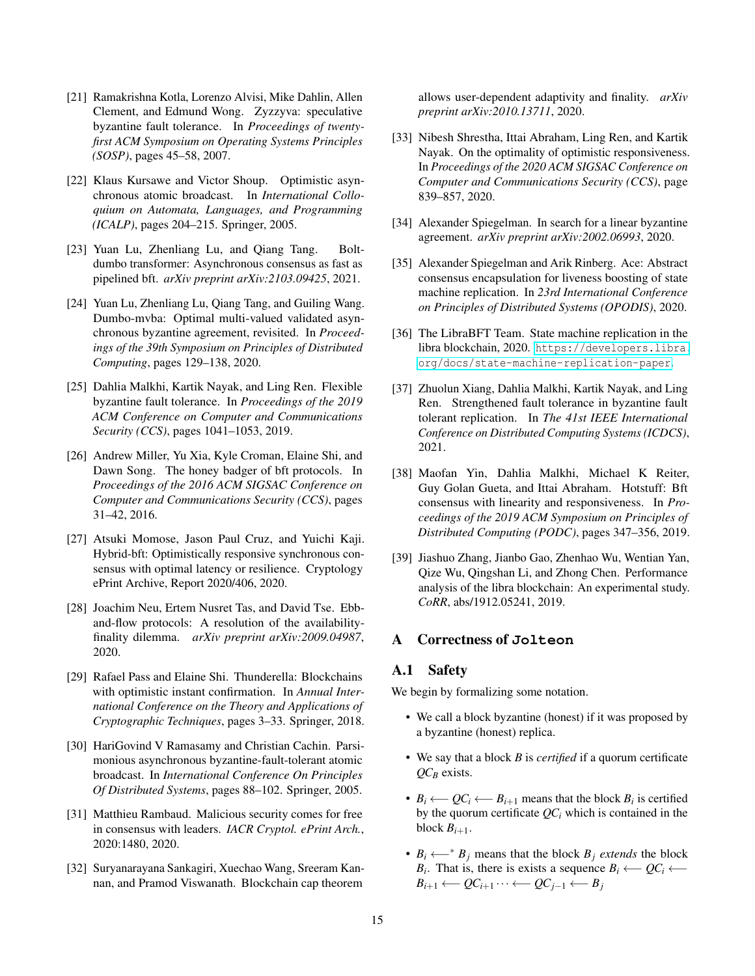- <span id="page-14-12"></span>[21] Ramakrishna Kotla, Lorenzo Alvisi, Mike Dahlin, Allen Clement, and Edmund Wong. Zyzzyva: speculative byzantine fault tolerance. In *Proceedings of twentyfirst ACM Symposium on Operating Systems Principles (SOSP)*, pages 45–58, 2007.
- <span id="page-14-3"></span>[22] Klaus Kursawe and Victor Shoup. Optimistic asynchronous atomic broadcast. In *International Colloquium on Automata, Languages, and Programming (ICALP)*, pages 204–215. Springer, 2005.
- <span id="page-14-11"></span>[23] Yuan Lu, Zhenliang Lu, and Qiang Tang. Boltdumbo transformer: Asynchronous consensus as fast as pipelined bft. *arXiv preprint arXiv:2103.09425*, 2021.
- <span id="page-14-1"></span>[24] Yuan Lu, Zhenliang Lu, Qiang Tang, and Guiling Wang. Dumbo-mvba: Optimal multi-valued validated asynchronous byzantine agreement, revisited. In *Proceedings of the 39th Symposium on Principles of Distributed Computing*, pages 129–138, 2020.
- <span id="page-14-16"></span>[25] Dahlia Malkhi, Kartik Nayak, and Ling Ren. Flexible byzantine fault tolerance. In *Proceedings of the 2019 ACM Conference on Computer and Communications Security (CCS)*, pages 1041–1053, 2019.
- <span id="page-14-10"></span>[26] Andrew Miller, Yu Xia, Kyle Croman, Elaine Shi, and Dawn Song. The honey badger of bft protocols. In *Proceedings of the 2016 ACM SIGSAC Conference on Computer and Communications Security (CCS)*, pages 31–42, 2016.
- <span id="page-14-13"></span>[27] Atsuki Momose, Jason Paul Cruz, and Yuichi Kaji. Hybrid-bft: Optimistically responsive synchronous consensus with optimal latency or resilience. Cryptology ePrint Archive, Report 2020/406, 2020.
- <span id="page-14-18"></span>[28] Joachim Neu, Ertem Nusret Tas, and David Tse. Ebband-flow protocols: A resolution of the availabilityfinality dilemma. *arXiv preprint arXiv:2009.04987*, 2020.
- <span id="page-14-14"></span>[29] Rafael Pass and Elaine Shi. Thunderella: Blockchains with optimistic instant confirmation. In *Annual International Conference on the Theory and Applications of Cryptographic Techniques*, pages 3–33. Springer, 2018.
- <span id="page-14-4"></span>[30] HariGovind V Ramasamy and Christian Cachin. Parsimonious asynchronous byzantine-fault-tolerant atomic broadcast. In *International Conference On Principles Of Distributed Systems*, pages 88–102. Springer, 2005.
- <span id="page-14-9"></span>[31] Matthieu Rambaud. Malicious security comes for free in consensus with leaders. *IACR Cryptol. ePrint Arch.*, 2020:1480, 2020.
- <span id="page-14-19"></span>[32] Suryanarayana Sankagiri, Xuechao Wang, Sreeram Kannan, and Pramod Viswanath. Blockchain cap theorem

allows user-dependent adaptivity and finality. *arXiv preprint arXiv:2010.13711*, 2020.

- <span id="page-14-15"></span>[33] Nibesh Shrestha, Ittai Abraham, Ling Ren, and Kartik Nayak. On the optimality of optimistic responsiveness. In *Proceedings of the 2020 ACM SIGSAC Conference on Computer and Communications Security (CCS)*, page 839–857, 2020.
- <span id="page-14-5"></span>[34] Alexander Spiegelman. In search for a linear byzantine agreement. *arXiv preprint arXiv:2002.06993*, 2020.
- <span id="page-14-2"></span>[35] Alexander Spiegelman and Arik Rinberg. Ace: Abstract consensus encapsulation for liveness boosting of state machine replication. In *23rd International Conference on Principles of Distributed Systems (OPODIS)*, 2020.
- <span id="page-14-6"></span>[36] The LibraBFT Team. State machine replication in the libra blockchain, 2020. [https://developers.libra.](https://developers.libra.org/docs/state-machine-replication-paper) [org/docs/state-machine-replication-paper](https://developers.libra.org/docs/state-machine-replication-paper).
- <span id="page-14-17"></span>[37] Zhuolun Xiang, Dahlia Malkhi, Kartik Nayak, and Ling Ren. Strengthened fault tolerance in byzantine fault tolerant replication. In *The 41st IEEE International Conference on Distributed Computing Systems (ICDCS)*, 2021.
- <span id="page-14-0"></span>[38] Maofan Yin, Dahlia Malkhi, Michael K Reiter, Guy Golan Gueta, and Ittai Abraham. Hotstuff: Bft consensus with linearity and responsiveness. In *Proceedings of the 2019 ACM Symposium on Principles of Distributed Computing (PODC)*, pages 347–356, 2019.
- <span id="page-14-8"></span>[39] Jiashuo Zhang, Jianbo Gao, Zhenhao Wu, Wentian Yan, Qize Wu, Qingshan Li, and Zhong Chen. Performance analysis of the libra blockchain: An experimental study. *CoRR*, abs/1912.05241, 2019.

# <span id="page-14-7"></span>A Correctness of **Jolteon**

# A.1 Safety

We begin by formalizing some notation.

- We call a block byzantine (honest) if it was proposed by a byzantine (honest) replica.
- We say that a block *B* is *certified* if a quorum certificate *QC<sup>B</sup>* exists.
- $B_i \longleftarrow QC_i \longleftarrow B_{i+1}$  means that the block  $B_i$  is certified by the quorum certificate  $QC_i$  which is contained in the block  $B_{i+1}$ .
- <span id="page-14-20"></span>•  $B_i \leftarrow A^* B_j$  means that the block  $B_j$  *extends* the block *B*<sup>*i*</sup>. That is, there is exists a sequence *B*<sup>*i*</sup> ←−  $QC$ <sup>*i*</sup> ←−  $B_{i+1} \leftarrow QC_{i+1} \cdots \leftarrow QC_{i-1} \leftarrow B_i$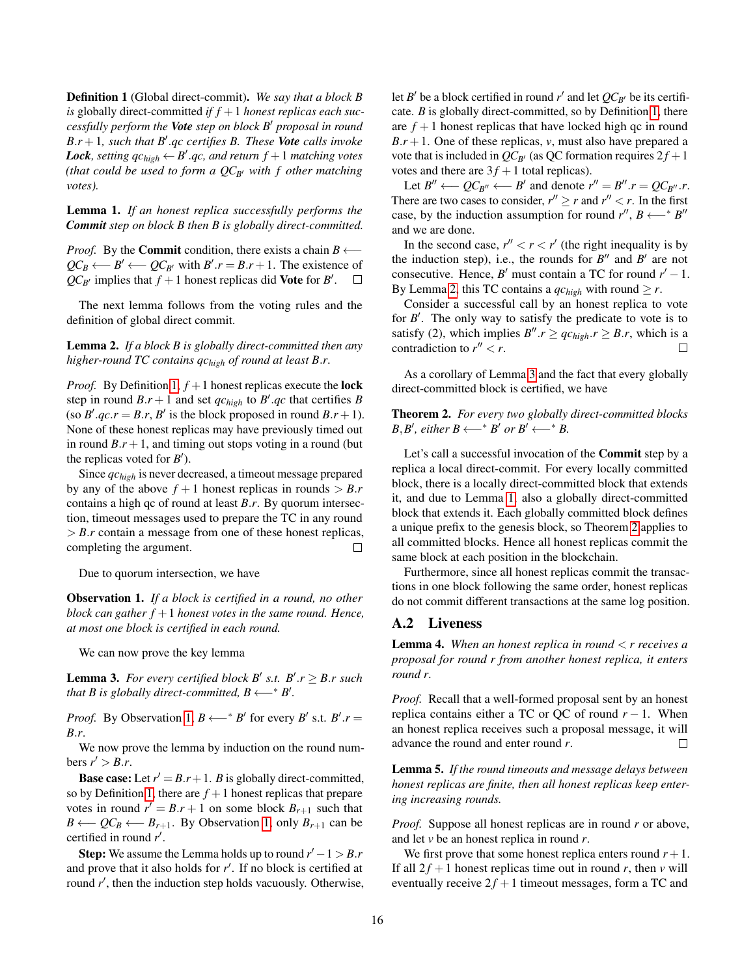Definition 1 (Global direct-commit). *We say that a block B* is globally direct-committed *if*  $f + 1$  *honest replicas each successfully perform the Vote step on block B* <sup>0</sup> *proposal in round B*.*r* +1*, such that B* 0 .*qc certifies B. These Vote calls invoke* Lock, setting  $qc_{high} \leftarrow B'.qc$ , and return  $f + 1$  matching votes *(that could be used to form a*  $QC_{B}$  *with f other matching votes).*

<span id="page-15-3"></span>Lemma 1. *If an honest replica successfully performs the Commit step on block B then B is globally direct-committed.*

*Proof.* By the **Commit** condition, there exists a chain *B* ←−  $QC_B \longleftarrow B' \longleftarrow QC_{B'}$  with  $B'.r = B.r + 1$ . The existence of  $QC_{B'}$  implies that  $f + 1$  honest replicas did **Vote** for *B'*.

The next lemma follows from the voting rules and the definition of global direct commit.

<span id="page-15-1"></span>Lemma 2. *If a block B is globally direct-committed then any higher-round TC contains qchigh of round at least B*.*r.*

*Proof.* By Definition [1,](#page-14-20)  $f + 1$  honest replicas execute the **lock** step in round  $B.r + 1$  and set  $qc_{high}$  to  $B'.qc$  that certifies  $B$ (so  $B'$ .*qc*.*r* = *B*.*r*, *B*<sup> $\prime$ </sup> is the block proposed in round *B*.*r* + 1). None of these honest replicas may have previously timed out in round  $B.r + 1$ , and timing out stops voting in a round (but the replicas voted for  $B'$ ).

Since *qchigh* is never decreased, a timeout message prepared by any of the above  $f + 1$  honest replicas in rounds  $> B.r$ contains a high qc of round at least *B*.*r*. By quorum intersection, timeout messages used to prepare the TC in any round  $> B.r$  contain a message from one of these honest replicas, completing the argument.  $\Box$ 

Due to quorum intersection, we have

<span id="page-15-0"></span>Observation 1. *If a block is certified in a round, no other block can gather*  $f + 1$  *honest votes in the same round. Hence, at most one block is certified in each round.*

We can now prove the key lemma

<span id="page-15-2"></span>**Lemma 3.** For every certified block B' s.t.  $B'.r \geq B.r$  such *that B is globally direct-committed,*  $B \leftarrow A^* B'.$ 

*Proof.* By Observation [1,](#page-15-0)  $B \leftarrow A^* B'$  for every *B*<sup>*'*</sup> s.t. *B'.r* = *B*.*r*.

We now prove the lemma by induction on the round numbers  $r' > B.r$ .

**Base case:** Let  $r' = B.r + 1$ . *B* is globally direct-committed, so by Definition [1,](#page-14-20) there are  $f + 1$  honest replicas that prepare votes in round  $r' = B.r + 1$  on some block  $B_{r+1}$  such that *B* ←  $QC_B$  ← *B*<sub>*r*+1</sub>. By Observation [1,](#page-15-0) only *B*<sub>*r*+1</sub> can be certified in round  $r'$ .

Step: We assume the Lemma holds up to round  $r' - 1 > B.r$ and prove that it also holds for  $r'$ . If no block is certified at round  $r'$ , then the induction step holds vacuously. Otherwise,

let *B*<sup> $\prime$ </sup> be a block certified in round *r*<sup> $\prime$ </sup> and let  $QC_{B'}$  be its certificate. *B* is globally direct-committed, so by Definition [1,](#page-14-20) there are  $f + 1$  honest replicas that have locked high qc in round  $B.r + 1$ . One of these replicas, *v*, must also have prepared a vote that is included in  $QC_{B'}$  (as QC formation requires  $2f + 1$ votes and there are  $3f + 1$  total replicas).

Let  $B'' \longleftarrow QC_{B''} \longleftarrow B'$  and denote  $r'' = B'' \cdot r = QC_{B''} \cdot r$ . There are two cases to consider,  $r'' \ge r$  and  $r'' < r$ . In the first case, by the induction assumption for round  $r''$ ,  $B \leftarrow^* B''$ and we are done.

In the second case,  $r'' < r < r'$  (the right inequality is by the induction step), i.e., the rounds for  $B''$  and  $B'$  are not consecutive. Hence, *B*<sup> $\prime$ </sup> must contain a TC for round  $r' - 1$ . By Lemma [2,](#page-15-1) this TC contains a  $qc_{high}$  with round  $\geq r$ .

Consider a successful call by an honest replica to vote for  $B'$ . The only way to satisfy the predicate to vote is to satisfy (2), which implies  $B''$ . $r \geq qc_{high}.r \geq B.r$ , which is a contradiction to  $r'' < r$ .  $\Box$ 

As a corollary of Lemma [3](#page-15-2) and the fact that every globally direct-committed block is certified, we have

<span id="page-15-4"></span>Theorem 2. *For every two globally direct-committed blocks B*,*B*<sup>*'*</sup>, *either B* ←−<sup>∗</sup> *B' or B'* ←−<sup>∗</sup> *B*.

Let's call a successful invocation of the Commit step by a replica a local direct-commit. For every locally committed block, there is a locally direct-committed block that extends it, and due to Lemma [1,](#page-15-3) also a globally direct-committed block that extends it. Each globally committed block defines a unique prefix to the genesis block, so Theorem [2](#page-15-4) applies to all committed blocks. Hence all honest replicas commit the same block at each position in the blockchain.

Furthermore, since all honest replicas commit the transactions in one block following the same order, honest replicas do not commit different transactions at the same log position.

#### A.2 Liveness

<span id="page-15-5"></span>Lemma 4. *When an honest replica in round* < *r receives a proposal for round r from another honest replica, it enters round r.*

*Proof.* Recall that a well-formed proposal sent by an honest replica contains either a TC or QC of round  $r - 1$ . When an honest replica receives such a proposal message, it will advance the round and enter round *r*.  $\Box$ 

<span id="page-15-6"></span>Lemma 5. *If the round timeouts and message delays between honest replicas are finite, then all honest replicas keep entering increasing rounds.*

*Proof.* Suppose all honest replicas are in round *r* or above, and let *v* be an honest replica in round *r*.

We first prove that some honest replica enters round  $r + 1$ . If all  $2f + 1$  honest replicas time out in round *r*, then *v* will eventually receive  $2f + 1$  timeout messages, form a TC and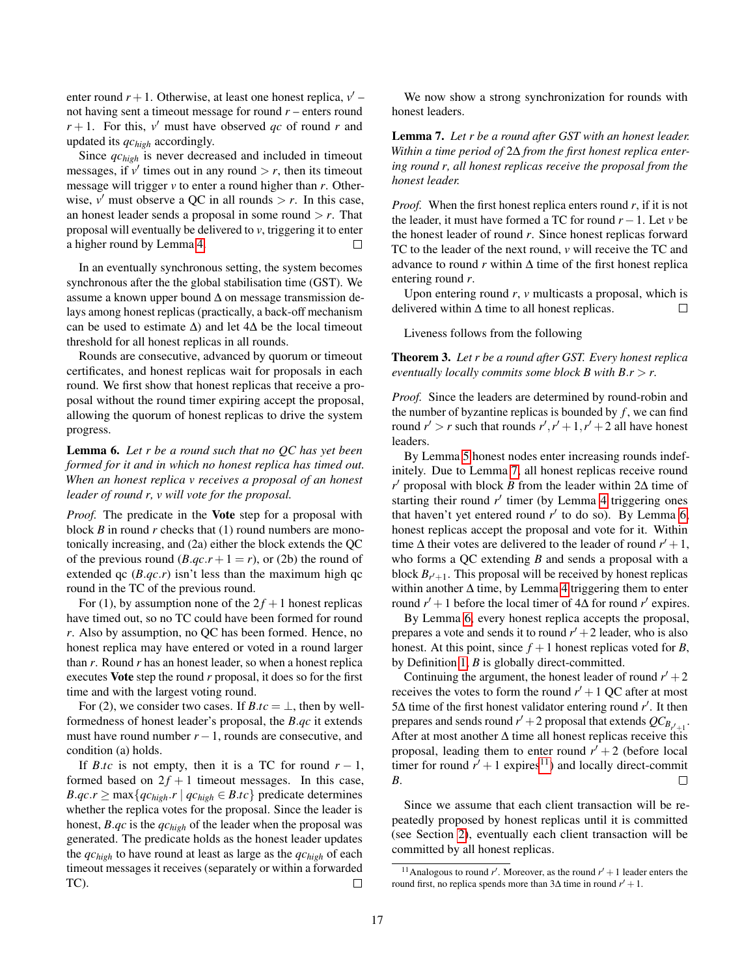enter round  $r + 1$ . Otherwise, at least one honest replica,  $v'$ not having sent a timeout message for round *r* – enters round  $r + 1$ . For this,  $v'$  must have observed *qc* of round *r* and updated its *qchigh* accordingly.

Since *qchigh* is never decreased and included in timeout messages, if  $v'$  times out in any round  $>r$ , then its timeout message will trigger *v* to enter a round higher than *r*. Otherwise,  $v'$  must observe a QC in all rounds  $> r$ . In this case, an honest leader sends a proposal in some round  $>r$ . That proposal will eventually be delivered to *v*, triggering it to enter a higher round by Lemma [4.](#page-15-5)  $\Box$ 

In an eventually synchronous setting, the system becomes synchronous after the the global stabilisation time (GST). We assume a known upper bound ∆ on message transmission delays among honest replicas (practically, a back-off mechanism can be used to estimate  $\Delta$ ) and let 4 $\Delta$  be the local timeout threshold for all honest replicas in all rounds.

Rounds are consecutive, advanced by quorum or timeout certificates, and honest replicas wait for proposals in each round. We first show that honest replicas that receive a proposal without the round timer expiring accept the proposal, allowing the quorum of honest replicas to drive the system progress.

<span id="page-16-1"></span>Lemma 6. *Let r be a round such that no QC has yet been formed for it and in which no honest replica has timed out. When an honest replica v receives a proposal of an honest leader of round r, v will vote for the proposal.*

*Proof.* The predicate in the Vote step for a proposal with block *B* in round *r* checks that (1) round numbers are monotonically increasing, and (2a) either the block extends the QC of the previous round  $(B.qc.r+1=r)$ , or (2b) the round of extended qc  $(B.qc.r)$  isn't less than the maximum high qc round in the TC of the previous round.

For (1), by assumption none of the  $2f + 1$  honest replicas have timed out, so no TC could have been formed for round *r*. Also by assumption, no QC has been formed. Hence, no honest replica may have entered or voted in a round larger than *r*. Round *r* has an honest leader, so when a honest replica executes Vote step the round *r* proposal, it does so for the first time and with the largest voting round.

For (2), we consider two cases. If  $B \cdot tc = \perp$ , then by wellformedness of honest leader's proposal, the *B*.*qc* it extends must have round number  $r - 1$ , rounds are consecutive, and condition (a) holds.

If *B.tc* is not empty, then it is a TC for round  $r - 1$ , formed based on  $2f + 1$  timeout messages. In this case, *B.qc.r*  $\geq$  max $\{qc_{high} \cdot r \mid qc_{high} \in B.tc\}$  predicate determines whether the replica votes for the proposal. Since the leader is honest, *B*.*qc* is the *qchigh* of the leader when the proposal was generated. The predicate holds as the honest leader updates the *qchigh* to have round at least as large as the *qchigh* of each timeout messages it receives (separately or within a forwarded TC).  $\Box$ 

We now show a strong synchronization for rounds with honest leaders.

<span id="page-16-0"></span>Lemma 7. *Let r be a round after GST with an honest leader. Within a time period of* 2∆ *from the first honest replica entering round r, all honest replicas receive the proposal from the honest leader.*

*Proof.* When the first honest replica enters round *r*, if it is not the leader, it must have formed a TC for round  $r - 1$ . Let *v* be the honest leader of round *r*. Since honest replicas forward TC to the leader of the next round, *v* will receive the TC and advance to round  $r$  within  $\Delta$  time of the first honest replica entering round *r*.

Upon entering round *r*, *v* multicasts a proposal, which is delivered within  $\Delta$  time to all honest replicas. П

Liveness follows from the following

Theorem 3. *Let r be a round after GST. Every honest replica eventually locally commits some block B with B*.*r* > *r.*

*Proof.* Since the leaders are determined by round-robin and the number of byzantine replicas is bounded by  $f$ , we can find round  $r' > r$  such that rounds  $r', r' + 1, r' + 2$  all have honest leaders.

By Lemma [5](#page-15-6) honest nodes enter increasing rounds indefinitely. Due to Lemma [7,](#page-16-0) all honest replicas receive round *r*<sup>'</sup> proposal with block *B* from the leader within 2∆ time of starting their round  $r'$  timer (by Lemma [4](#page-15-5) triggering ones that haven't yet entered round  $r'$  to do so). By Lemma [6,](#page-16-1) honest replicas accept the proposal and vote for it. Within time  $\Delta$  their votes are delivered to the leader of round  $r' + 1$ , who forms a QC extending *B* and sends a proposal with a block  $B_{r'+1}$ . This proposal will be received by honest replicas within another ∆ time, by Lemma [4](#page-15-5) triggering them to enter round  $r' + 1$  before the local timer of  $4\Delta$  for round  $r'$  expires.

By Lemma [6,](#page-16-1) every honest replica accepts the proposal, prepares a vote and sends it to round  $r' + 2$  leader, who is also honest. At this point, since  $f + 1$  honest replicas voted for *B*, by Definition [1,](#page-14-20) *B* is globally direct-committed.

Continuing the argument, the honest leader of round  $r' + 2$ receives the votes to form the round  $r' + 1$  QC after at most 5∆ time of the first honest validator entering round *r'*. It then prepares and sends round  $r' + 2$  proposal that extends  $QC_{B_{r'+1}}$ . After at most another  $\Delta$  time all honest replicas receive this proposal, leading them to enter round  $r' + 2$  (before local timer for round  $r' + 1$  expires<sup>[11](#page-16-2)</sup>) and locally direct-commit *B*.  $\Box$ 

Since we assume that each client transaction will be repeatedly proposed by honest replicas until it is committed (see Section [2\)](#page-1-1), eventually each client transaction will be committed by all honest replicas.

<span id="page-16-2"></span><sup>&</sup>lt;sup>11</sup> Analogous to round *r'*. Moreover, as the round  $r' + 1$  leader enters the round first, no replica spends more than  $3\Delta$  time in round  $r' + 1$ .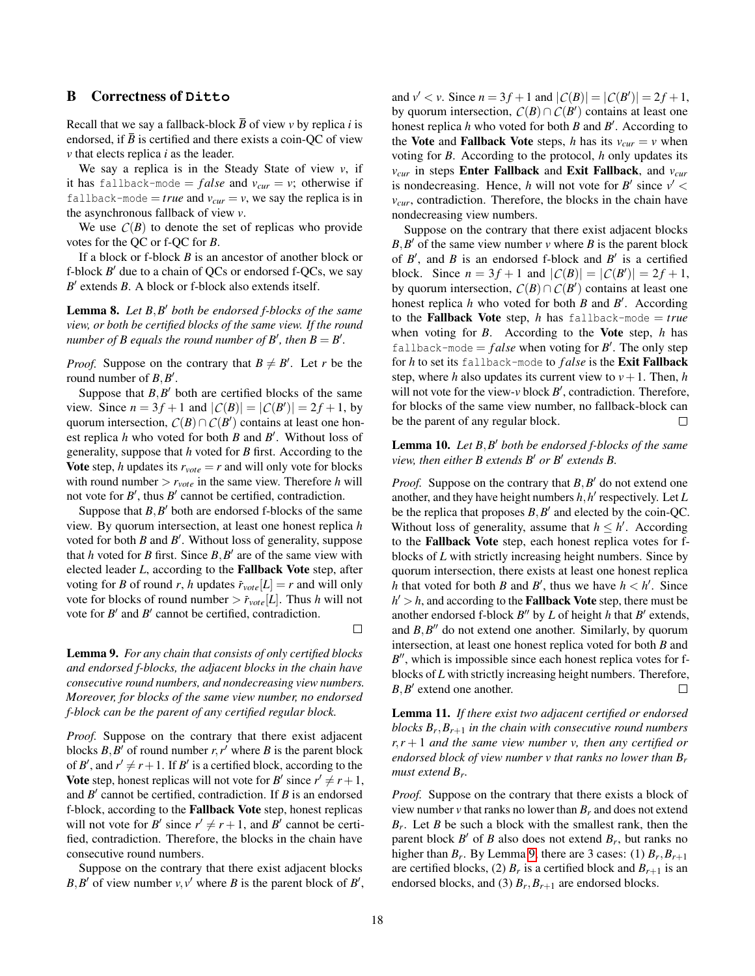# <span id="page-17-0"></span>B Correctness of **Ditto**

Recall that we say a fallback-block  $\overline{B}$  of view *v* by replica *i* is endorsed, if *B* is certified and there exists a coin-QC of view *v* that elects replica *i* as the leader.

We say a replica is in the Steady State of view *v*, if it has fallback-mode =  $false$  and  $v_{cur} = v$ ; otherwise if fallback-mode = *true* and  $v_{\text{cur}} = v$ , we say the replica is in the asynchronous fallback of view *v*.

We use  $C(B)$  to denote the set of replicas who provide votes for the QC or f-QC for *B*.

If a block or f-block *B* is an ancestor of another block or f-block  $B'$  due to a chain of QCs or endorsed f-QCs, we say *B*<sup> $\prime$ </sup> extends *B*. A block or f-block also extends itself.

<span id="page-17-2"></span>Lemma 8. Let  $B$ ,  $B'$  both be endorsed f-blocks of the same *view, or both be certified blocks of the same view. If the round number of B equals the round number of B', then*  $B = B'$ *.* 

*Proof.* Suppose on the contrary that  $B \neq B'$ . Let *r* be the round number of  $B, B'$ .

Suppose that  $B$ , $B'$  both are certified blocks of the same view. Since  $n = 3f + 1$  and  $|C(B)| = |C(B')| = 2f + 1$ , by quorum intersection,  $C(B) \cap C(B')$  contains at least one honest replica  $h$  who voted for both  $B$  and  $B'$ . Without loss of generality, suppose that *h* voted for *B* first. According to the Vote step, *h* updates its  $r_{\text{vote}} = r$  and will only vote for blocks with round number > *rvote* in the same view. Therefore *h* will not vote for  $B'$ , thus  $B'$  cannot be certified, contradiction.

Suppose that  $B$ ,  $B'$  both are endorsed f-blocks of the same view. By quorum intersection, at least one honest replica *h* voted for both  $B$  and  $B'$ . Without loss of generality, suppose that *h* voted for *B* first. Since  $B, B'$  are of the same view with elected leader *L*, according to the Fallback Vote step, after voting for *B* of round *r*, *h* updates  $\bar{r}_{\text{vote}}[L] = r$  and will only vote for blocks of round number  $\frac{\partial \bar{r}_{\text{vote}}[L]}{\partial x}$ . Thus *h* will not vote for  $B'$  and  $B'$  cannot be certified, contradiction.

<span id="page-17-1"></span>Lemma 9. *For any chain that consists of only certified blocks and endorsed f-blocks, the adjacent blocks in the chain have consecutive round numbers, and nondecreasing view numbers. Moreover, for blocks of the same view number, no endorsed f-block can be the parent of any certified regular block.*

*Proof.* Suppose on the contrary that there exist adjacent blocks  $B$ ,  $B'$  of round number  $r$ ,  $r'$  where  $B$  is the parent block of *B*<sup> $\prime$ </sup>, and  $r' \neq r+1$ . If *B*<sup> $\prime$ </sup> is a certified block, according to the **Vote** step, honest replicas will not vote for *B*<sup> $\prime$ </sup> since  $r' \neq r+1$ , and  $B'$  cannot be certified, contradiction. If  $B$  is an endorsed f-block, according to the Fallback Vote step, honest replicas will not vote for *B*<sup> $\prime$ </sup> since  $r' \neq r+1$ , and *B*<sup> $\prime$ </sup> cannot be certified, contradiction. Therefore, the blocks in the chain have consecutive round numbers.

Suppose on the contrary that there exist adjacent blocks *B*, *B*<sup> $\prime$ </sup> of view number *v*, *v*<sup> $\prime$ </sup> where *B* is the parent block of *B*<sup> $\prime$ </sup>,

and  $v' < v$ . Since  $n = 3f + 1$  and  $|C(B)| = |C(B')| = 2f + 1$ , by quorum intersection,  $C(B) \cap C(B')$  contains at least one honest replica *h* who voted for both *B* and *B*<sup>'</sup>. According to the Vote and Fallback Vote steps, *h* has its  $v_{cur} = v$  when voting for *B*. According to the protocol, *h* only updates its *vcur* in steps Enter Fallback and Exit Fallback, and *vcur* is nondecreasing. Hence, *h* will not vote for  $B'$  since  $v'$  < *vcur*, contradiction. Therefore, the blocks in the chain have nondecreasing view numbers.

Suppose on the contrary that there exist adjacent blocks  $B, B'$  of the same view number  $\nu$  where  $B$  is the parent block of  $B'$ , and  $B$  is an endorsed f-block and  $B'$  is a certified block. Since  $n = 3f + 1$  and  $|C(B)| = |C(B')| = 2f + 1$ , by quorum intersection,  $C(B) \cap C(B')$  contains at least one honest replica  $h$  who voted for both  $B$  and  $B'$ . According to the **Fallback Vote** step, *h* has fallback-mode  $= true$ when voting for *B*. According to the Vote step, *h* has fallback-mode  $= false$  when voting for  $B'$ . The only step for *h* to set its fallback-mode to *f alse* is the Exit Fallback step, where *h* also updates its current view to  $v + 1$ . Then, *h* will not vote for the view- $v$  block  $B'$ , contradiction. Therefore, for blocks of the same view number, no fallback-block can be the parent of any regular block.  $\Box$ 

<span id="page-17-3"></span>Lemma 10. *Let*  $B$ ,  $B'$  both be endorsed f-blocks of the same *view, then either B extends B' or B' extends B.* 

*Proof.* Suppose on the contrary that  $B, B'$  do not extend one another, and they have height numbers  $h$ ,  $h'$  respectively. Let  $L$ be the replica that proposes  $B, B'$  and elected by the coin-QC. Without loss of generality, assume that  $h \leq h'$ . According to the Fallback Vote step, each honest replica votes for fblocks of *L* with strictly increasing height numbers. Since by quorum intersection, there exists at least one honest replica *h* that voted for both *B* and *B*<sup> $\prime$ </sup>, thus we have  $h \lt h'$ . Since  $h' > h$ , and according to the **Fallback Vote** step, there must be another endorsed f-block  $B''$  by  $L$  of height  $h$  that  $B'$  extends, and  $B$ , $B$ <sup> $\prime\prime$ </sup> do not extend one another. Similarly, by quorum intersection, at least one honest replica voted for both *B* and B<sup>"</sup>, which is impossible since each honest replica votes for fblocks of *L* with strictly increasing height numbers. Therefore,  $B, B'$  extend one another. П

<span id="page-17-4"></span>Lemma 11. *If there exist two adjacent certified or endorsed blocks B<sup>r</sup>* ,*Br*+<sup>1</sup> *in the chain with consecutive round numbers r*,*r* + 1 *and the same view number v, then any certified or endorsed block of view number v that ranks no lower than B<sup>r</sup> must extend B<sup>r</sup> .*

*Proof.* Suppose on the contrary that there exists a block of view number  $\nu$  that ranks no lower than  $B_r$  and does not extend  $B_r$ . Let *B* be such a block with the smallest rank, then the parent block  $B'$  of  $B$  also does not extend  $B_r$ , but ranks no higher than  $B_r$ . By Lemma [9,](#page-17-1) there are 3 cases: (1)  $B_r$ ,  $B_{r+1}$ are certified blocks, (2)  $B_r$  is a certified block and  $B_{r+1}$  is an endorsed blocks, and (3)  $B_r$ ,  $B_{r+1}$  are endorsed blocks.

 $\Box$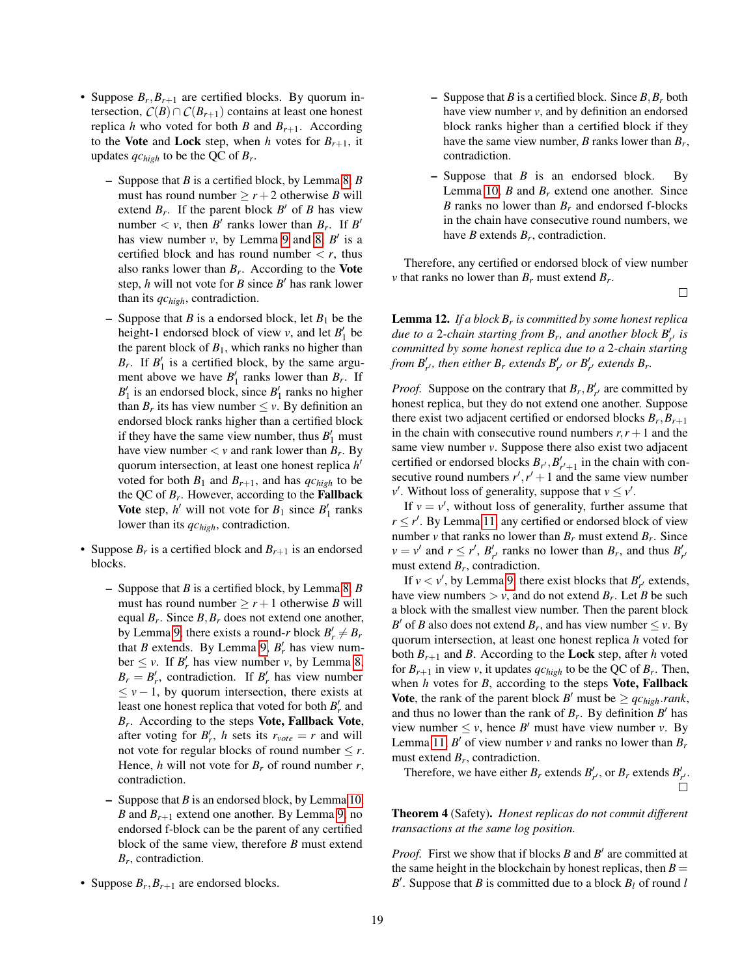- Suppose  $B_r$ ,  $B_{r+1}$  are certified blocks. By quorum intersection,  $C(B) \cap C(B_{r+1})$  contains at least one honest replica *h* who voted for both *B* and  $B_{r+1}$ . According to the Vote and Lock step, when *h* votes for  $B_{r+1}$ , it updates *qchigh* to be the QC of *B<sup>r</sup>* .
	- Suppose that *B* is a certified block, by Lemma [8,](#page-17-2) *B* must has round number  $\geq r+2$  otherwise *B* will extend  $B_r$ . If the parent block  $B'$  of  $B$  has view number  $\lt v$ , then *B*<sup>*r*</sup> ranks lower than *B<sub>r</sub>*. If *B*<sup>*r*</sup> has view number  $v$ , by Lemma [9](#page-17-1) and [8,](#page-17-2)  $B'$  is a certified block and has round number  $\langle r$ , thus also ranks lower than  $B_r$ . According to the Vote step,  $h$  will not vote for  $B$  since  $B'$  has rank lower than its *qchigh*, contradiction.
	- Suppose that *B* is a endorsed block, let  $B_1$  be the height-1 endorsed block of view  $v$ , and let  $B'_1$  be the parent block of  $B_1$ , which ranks no higher than  $B_r$ . If  $B'_1$  is a certified block, by the same argument above we have  $B'_1$  ranks lower than  $B_r$ . If  $B_1'$  is an endorsed block, since  $B_1'$  ranks no higher than  $B_r$  its has view number  $\leq v$ . By definition an endorsed block ranks higher than a certified block if they have the same view number, thus  $B'_1$  must have view number  $\lt v$  and rank lower than  $B_r$ . By quorum intersection, at least one honest replica *h* 0 voted for both  $B_1$  and  $B_{r+1}$ , and has  $q_c$ <sub>high</sub> to be the QC of *B<sup>r</sup>* . However, according to the Fallback **Vote** step,  $h'$  will not vote for  $B_1$  since  $B'_1$  ranks lower than its *qchigh*, contradiction.
- Suppose  $B_r$  is a certified block and  $B_{r+1}$  is an endorsed blocks.
	- Suppose that *B* is a certified block, by Lemma [8,](#page-17-2) *B* must has round number  $\geq r+1$  otherwise *B* will equal *B<sup>r</sup>* . Since *B*,*B<sup>r</sup>* does not extend one another, by Lemma [9,](#page-17-1) there exists a round-*r* block  $B'_r \neq B_r$ that *B* extends. By Lemma [9,](#page-17-1)  $B'_r$  has view num- $\text{ber } \leq v$ . If  $B'_r$  has view number *v*, by Lemma [8,](#page-17-2)  $B_r = B'_r$ , contradiction. If  $B'_r$  has view number  $\leq v - 1$ , by quorum intersection, there exists at least one honest replica that voted for both  $B'_r$  and *Br* . According to the steps Vote, Fallback Vote, after voting for  $B'_r$ , *h* sets its  $r_{\text{vote}} = r$  and will not vote for regular blocks of round number  $\leq r$ . Hence, *h* will not vote for  $B_r$  of round number  $r$ , contradiction.
	- Suppose that *B* is an endorsed block, by Lemma [10,](#page-17-3) *B* and  $B_{r+1}$  extend one another. By Lemma [9,](#page-17-1) no endorsed f-block can be the parent of any certified block of the same view, therefore *B* must extend *Br* , contradiction.
- Suppose  $B_r$ ,  $B_{r+1}$  are endorsed blocks.
- Suppose that *B* is a certified block. Since *B*,*B<sup>r</sup>* both have view number *v*, and by definition an endorsed block ranks higher than a certified block if they have the same view number, *B* ranks lower than *B<sup>r</sup>* , contradiction.
- Suppose that *B* is an endorsed block. By Lemma [10,](#page-17-3) *B* and *B<sup>r</sup>* extend one another. Since *B* ranks no lower than *B<sup>r</sup>* and endorsed f-blocks in the chain have consecutive round numbers, we have *B* extends *B<sup>r</sup>* , contradiction.

Therefore, any certified or endorsed block of view number *v* that ranks no lower than  $B_r$  must extend  $B_r$ .

 $\Box$ 

<span id="page-18-0"></span>Lemma 12. *If a block B<sup>r</sup> is committed by some honest replica due to a* 2-*chain starting from*  $B_r$ , and another block  $B'_{r'}$  is *committed by some honest replica due to a* 2*-chain starting from*  $B'_{r'}$ , then either  $B_r$  extends  $B'_{r'}$  or  $B'_{r'}$  extends  $B_r$ .

*Proof.* Suppose on the contrary that  $B_r$ ,  $B'_{r'}$  are committed by honest replica, but they do not extend one another. Suppose there exist two adjacent certified or endorsed blocks  $B_r, B_{r+1}$ in the chain with consecutive round numbers  $r, r+1$  and the same view number *v*. Suppose there also exist two adjacent certified or endorsed blocks  $B_{r}$ ,  $B'_{r'+1}$  in the chain with consecutive round numbers  $r', r' + 1$  and the same view number *v*<sup>'</sup>. Without loss of generality, suppose that  $v \le v'$ .

If  $v = v'$ , without loss of generality, further assume that  $r \le r'$ . By Lemma [11,](#page-17-4) any certified or endorsed block of view number *v* that ranks no lower than  $B_r$  must extend  $B_r$ . Since  $v = v'$  and  $r \le r'$ ,  $B'_{r'}$  ranks no lower than  $B_r$ , and thus  $B'_{r'}$ must extend  $B_r$ , contradiction.

If  $v < v'$ , by Lemma [9,](#page-17-1) there exist blocks that  $B'_{r'}$  extends, have view numbers  $> v$ , and do not extend  $B_r$ . Let *B* be such a block with the smallest view number. Then the parent block *B*<sup> $\prime$ </sup> of *B* also does not extend *B<sub>r</sub>*, and has view number  $\leq$  *v*. By quorum intersection, at least one honest replica *h* voted for both  $B_{r+1}$  and *B*. According to the **Lock** step, after *h* voted for  $B_{r+1}$  in view *v*, it updates  $qc_{high}$  to be the QC of  $B_r$ . Then, when *h* votes for *B*, according to the steps Vote, Fallback **Vote**, the rank of the parent block *B*<sup> $\prime$ </sup> must be  $\ge$  *qc*<sub>*high*</sub>.*rank*, and thus no lower than the rank of  $B_r$ . By definition  $B'$  has view number  $\leq v$ , hence *B'* must have view number *v*. By Lemma [11,](#page-17-4)  $B'$  of view number  $v$  and ranks no lower than  $B_r$ must extend  $B_r$ , contradiction.

Therefore, we have either  $B_r$  extends  $B'_{r'}$ , or  $B_r$  extends  $B'_{r'}$ .

Theorem 4 (Safety). *Honest replicas do not commit different transactions at the same log position.*

*Proof.* First we show that if blocks  $B$  and  $B'$  are committed at the same height in the blockchain by honest replicas, then  $B =$  $B'$ . Suppose that *B* is committed due to a block  $B_l$  of round *l*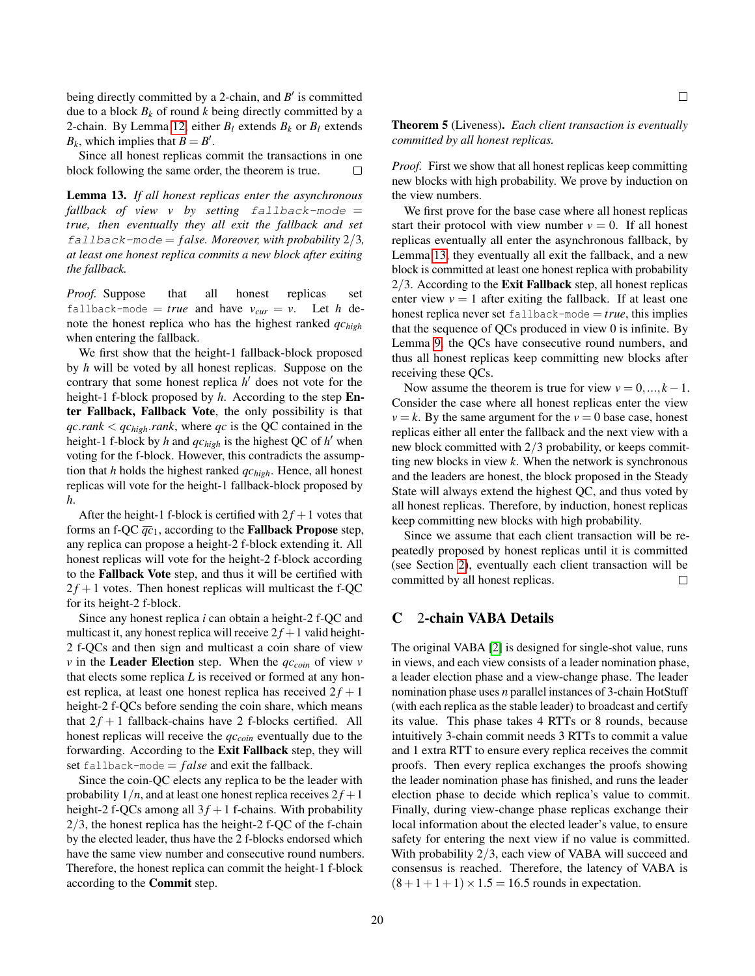being directly committed by a 2-chain, and  $B'$  is committed due to a block  $B_k$  of round  $k$  being directly committed by a 2-chain. By Lemma [12,](#page-18-0) either  $B_l$  extends  $B_k$  or  $B_l$  extends  $B_k$ , which implies that  $B = B'$ .

Since all honest replicas commit the transactions in one block following the same order, the theorem is true.  $\Box$ 

<span id="page-19-1"></span>Lemma 13. *If all honest replicas enter the asynchronous fallback of view v by setting* fallback-mode = *true, then eventually they all exit the fallback and set* fallback-mode = *f alse. Moreover, with probability* 2/3*, at least one honest replica commits a new block after exiting the fallback.*

*Proof.* Suppose that all honest replicas set fallback-mode = *true* and have  $v_{cur} = v$ . Let *h* denote the honest replica who has the highest ranked *qchigh* when entering the fallback.

We first show that the height-1 fallback-block proposed by *h* will be voted by all honest replicas. Suppose on the contrary that some honest replica *h*<sup>'</sup> does not vote for the height-1 f-block proposed by *h*. According to the step Enter Fallback, Fallback Vote, the only possibility is that *qc*.*rank* < *qchigh*.*rank*, where *qc* is the QC contained in the height-1 f-block by *h* and  $qc_{high}$  is the highest QC of  $h'$  when voting for the f-block. However, this contradicts the assumption that *h* holds the highest ranked *qchigh*. Hence, all honest replicas will vote for the height-1 fallback-block proposed by *h*.

After the height-1 f-block is certified with  $2f + 1$  votes that forms an f-QC  $\overline{qc}_1$ , according to the **Fallback Propose** step, any replica can propose a height-2 f-block extending it. All honest replicas will vote for the height-2 f-block according to the Fallback Vote step, and thus it will be certified with  $2f + 1$  votes. Then honest replicas will multicast the f-QC for its height-2 f-block.

Since any honest replica *i* can obtain a height-2 f-QC and multicast it, any honest replica will receive  $2f + 1$  valid height-2 f-QCs and then sign and multicast a coin share of view *v* in the **Leader Election** step. When the  $qc_{coin}$  of view *v* that elects some replica *L* is received or formed at any honest replica, at least one honest replica has received  $2f + 1$ height-2 f-QCs before sending the coin share, which means that  $2f + 1$  fallback-chains have 2 f-blocks certified. All honest replicas will receive the *qccoin* eventually due to the forwarding. According to the Exit Fallback step, they will set fallback-mode  $= false$  and exit the fallback.

Since the coin-QC elects any replica to be the leader with probability  $1/n$ , and at least one honest replica receives  $2f + 1$ height-2 f-OCs among all  $3f + 1$  f-chains. With probability  $2/3$ , the honest replica has the height-2 f-QC of the f-chain by the elected leader, thus have the 2 f-blocks endorsed which have the same view number and consecutive round numbers. Therefore, the honest replica can commit the height-1 f-block according to the Commit step.

 $\Box$ 

Theorem 5 (Liveness). *Each client transaction is eventually committed by all honest replicas.*

*Proof.* First we show that all honest replicas keep committing new blocks with high probability. We prove by induction on the view numbers.

We first prove for the base case where all honest replicas start their protocol with view number  $v = 0$ . If all honest replicas eventually all enter the asynchronous fallback, by Lemma [13,](#page-19-1) they eventually all exit the fallback, and a new block is committed at least one honest replica with probability  $2/3$ . According to the Exit Fallback step, all honest replicas enter view  $v = 1$  after exiting the fallback. If at least one honest replica never set fallback-mode  $= true$ , this implies that the sequence of QCs produced in view 0 is infinite. By Lemma [9,](#page-17-1) the QCs have consecutive round numbers, and thus all honest replicas keep committing new blocks after receiving these QCs.

Now assume the theorem is true for view  $v = 0, ..., k - 1$ . Consider the case where all honest replicas enter the view  $v = k$ . By the same argument for the  $v = 0$  base case, honest replicas either all enter the fallback and the next view with a new block committed with 2/3 probability, or keeps committing new blocks in view *k*. When the network is synchronous and the leaders are honest, the block proposed in the Steady State will always extend the highest QC, and thus voted by all honest replicas. Therefore, by induction, honest replicas keep committing new blocks with high probability.

Since we assume that each client transaction will be repeatedly proposed by honest replicas until it is committed (see Section [2\)](#page-1-1), eventually each client transaction will be committed by all honest replicas.  $\Box$ 

#### <span id="page-19-0"></span>C 2-chain VABA Details

The original VABA [\[2\]](#page-13-2) is designed for single-shot value, runs in views, and each view consists of a leader nomination phase, a leader election phase and a view-change phase. The leader nomination phase uses *n* parallel instances of 3-chain HotStuff (with each replica as the stable leader) to broadcast and certify its value. This phase takes 4 RTTs or 8 rounds, because intuitively 3-chain commit needs 3 RTTs to commit a value and 1 extra RTT to ensure every replica receives the commit proofs. Then every replica exchanges the proofs showing the leader nomination phase has finished, and runs the leader election phase to decide which replica's value to commit. Finally, during view-change phase replicas exchange their local information about the elected leader's value, to ensure safety for entering the next view if no value is committed. With probability 2/3, each view of VABA will succeed and consensus is reached. Therefore, the latency of VABA is  $(8+1+1+1) \times 1.5 = 16.5$  rounds in expectation.